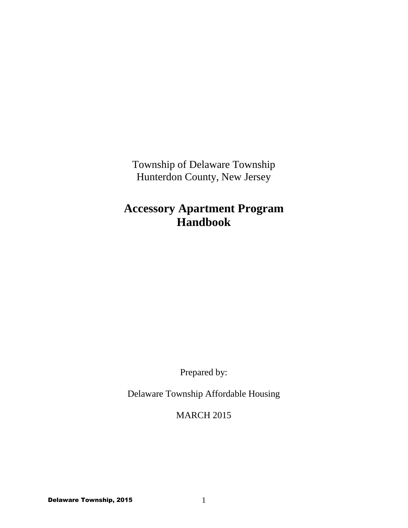Township of Delaware Township Hunterdon County, New Jersey

# **Accessory Apartment Program Handbook**

Prepared by:

Delaware Township Affordable Housing

# MARCH 2015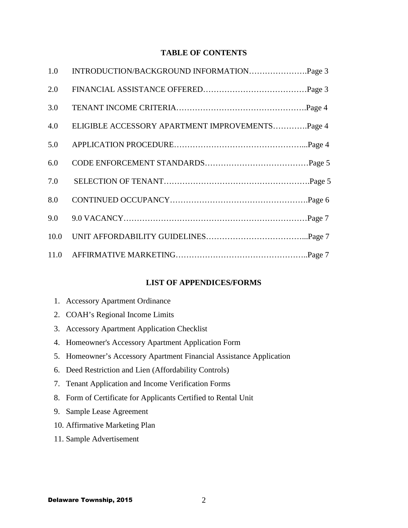### **TABLE OF CONTENTS**

| 1.0  |                                                 |
|------|-------------------------------------------------|
| 2.0  |                                                 |
| 3.0  |                                                 |
| 4.0  | ELIGIBLE ACCESSORY APARTMENT IMPROVEMENTSPage 4 |
| 5.0  |                                                 |
| 6.0  |                                                 |
| 7.0  |                                                 |
| 8.0  |                                                 |
| 9.0  |                                                 |
| 10.0 |                                                 |
| 11.0 |                                                 |

### **LIST OF APPENDICES/FORMS**

- 1. Accessory Apartment Ordinance
- 2. COAH's Regional Income Limits
- 3. Accessory Apartment Application Checklist
- 4. Homeowner's Accessory Apartment Application Form
- 5. Homeowner's Accessory Apartment Financial Assistance Application
- 6. Deed Restriction and Lien (Affordability Controls)
- 7. Tenant Application and Income Verification Forms
- 8. Form of Certificate for Applicants Certified to Rental Unit
- 9. Sample Lease Agreement
- 10. Affirmative Marketing Plan
- 11. Sample Advertisement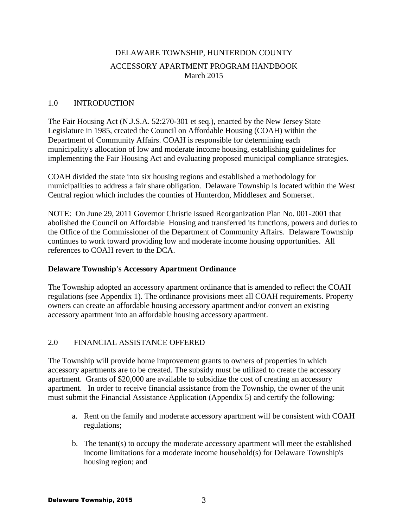# DELAWARE TOWNSHIP, HUNTERDON COUNTY ACCESSORY APARTMENT PROGRAM HANDBOOK March 2015

### 1.0 INTRODUCTION

The Fair Housing Act (N.J.S.A. 52:270-301 et seq.), enacted by the New Jersey State Legislature in 1985, created the Council on Affordable Housing (COAH) within the Department of Community Affairs. COAH is responsible for determining each municipality's allocation of low and moderate income housing, establishing guidelines for implementing the Fair Housing Act and evaluating proposed municipal compliance strategies.

COAH divided the state into six housing regions and established a methodology for municipalities to address a fair share obligation. Delaware Township is located within the West Central region which includes the counties of Hunterdon, Middlesex and Somerset.

NOTE: On June 29, 2011 Governor Christie issued Reorganization Plan No. 001-2001 that abolished the Council on Affordable Housing and transferred its functions, powers and duties to the Office of the Commissioner of the Department of Community Affairs. Delaware Township continues to work toward providing low and moderate income housing opportunities. All references to COAH revert to the DCA.

### **Delaware Township's Accessory Apartment Ordinance**

The Township adopted an accessory apartment ordinance that is amended to reflect the COAH regulations (see Appendix 1). The ordinance provisions meet all COAH requirements. Property owners can create an affordable housing accessory apartment and/or convert an existing accessory apartment into an affordable housing accessory apartment.

# 2.0 FINANCIAL ASSISTANCE OFFERED

The Township will provide home improvement grants to owners of properties in which accessory apartments are to be created. The subsidy must be utilized to create the accessory apartment. Grants of \$20,000 are available to subsidize the cost of creating an accessory apartment. In order to receive financial assistance from the Township, the owner of the unit must submit the Financial Assistance Application (Appendix 5) and certify the following:

- a. Rent on the family and moderate accessory apartment will be consistent with COAH regulations;
- b. The tenant(s) to occupy the moderate accessory apartment will meet the established income limitations for a moderate income household(s) for Delaware Township's housing region; and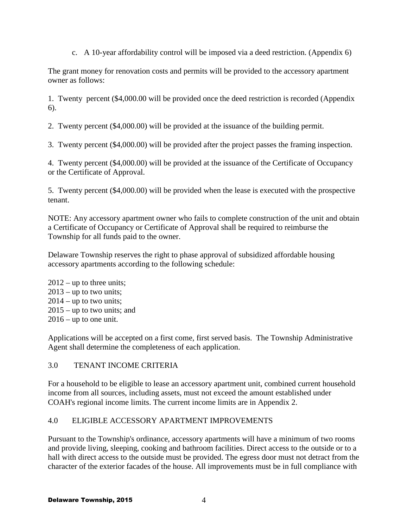c. A 10-year affordability control will be imposed via a deed restriction. (Appendix 6)

The grant money for renovation costs and permits will be provided to the accessory apartment owner as follows:

1. Twenty percent (\$4,000.00 will be provided once the deed restriction is recorded (Appendix 6).

2. Twenty percent (\$4,000.00) will be provided at the issuance of the building permit.

3. Twenty percent (\$4,000.00) will be provided after the project passes the framing inspection.

4. Twenty percent (\$4,000.00) will be provided at the issuance of the Certificate of Occupancy or the Certificate of Approval.

5. Twenty percent (\$4,000.00) will be provided when the lease is executed with the prospective tenant.

NOTE: Any accessory apartment owner who fails to complete construction of the unit and obtain a Certificate of Occupancy or Certificate of Approval shall be required to reimburse the Township for all funds paid to the owner.

Delaware Township reserves the right to phase approval of subsidized affordable housing accessory apartments according to the following schedule:

 $2012 - up$  to three units;  $2013 -$ up to two units;  $2014 -$ up to two units;  $2015 -$ up to two units; and  $2016 -$ up to one unit.

Applications will be accepted on a first come, first served basis. The Township Administrative Agent shall determine the completeness of each application.

### 3.0 TENANT INCOME CRITERIA

For a household to be eligible to lease an accessory apartment unit, combined current household income from all sources, including assets, must not exceed the amount established under COAH's regional income limits. The current income limits are in Appendix 2.

# 4.0 ELIGIBLE ACCESSORY APARTMENT IMPROVEMENTS

Pursuant to the Township's ordinance, accessory apartments will have a minimum of two rooms and provide living, sleeping, cooking and bathroom facilities. Direct access to the outside or to a hall with direct access to the outside must be provided. The egress door must not detract from the character of the exterior facades of the house. All improvements must be in full compliance with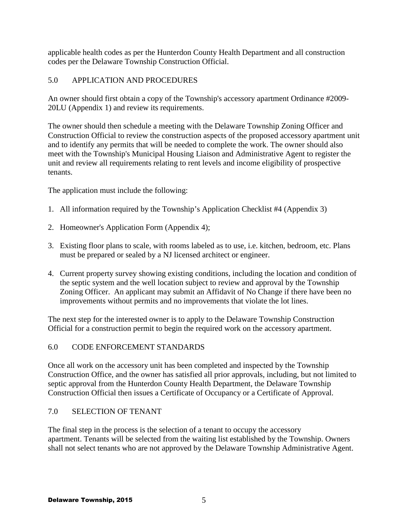applicable health codes as per the Hunterdon County Health Department and all construction codes per the Delaware Township Construction Official.

# 5.0 APPLICATION AND PROCEDURES

An owner should first obtain a copy of the Township's accessory apartment Ordinance #2009- 20LU (Appendix 1) and review its requirements.

The owner should then schedule a meeting with the Delaware Township Zoning Officer and Construction Official to review the construction aspects of the proposed accessory apartment unit and to identify any permits that will be needed to complete the work. The owner should also meet with the Township's Municipal Housing Liaison and Administrative Agent to register the unit and review all requirements relating to rent levels and income eligibility of prospective tenants.

The application must include the following:

- 1. All information required by the Township's Application Checklist #4 (Appendix 3)
- 2. Homeowner's Application Form (Appendix 4);
- 3. Existing floor plans to scale, with rooms labeled as to use, i.e. kitchen, bedroom, etc. Plans must be prepared or sealed by a NJ licensed architect or engineer.
- 4. Current property survey showing existing conditions, including the location and condition of the septic system and the well location subject to review and approval by the Township Zoning Officer. An applicant may submit an Affidavit of No Change if there have been no improvements without permits and no improvements that violate the lot lines.

The next step for the interested owner is to apply to the Delaware Township Construction Official for a construction permit to begin the required work on the accessory apartment.

# 6.0 CODE ENFORCEMENT STANDARDS

Once all work on the accessory unit has been completed and inspected by the Township Construction Office, and the owner has satisfied all prior approvals, including, but not limited to septic approval from the Hunterdon County Health Department, the Delaware Township Construction Official then issues a Certificate of Occupancy or a Certificate of Approval.

# 7.0 SELECTION OF TENANT

The final step in the process is the selection of a tenant to occupy the accessory apartment. Tenants will be selected from the waiting list established by the Township. Owners shall not select tenants who are not approved by the Delaware Township Administrative Agent.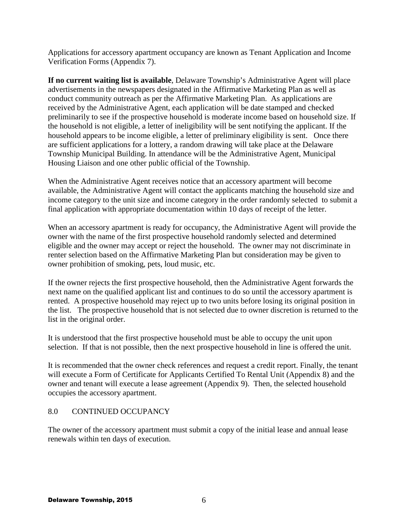Applications for accessory apartment occupancy are known as Tenant Application and Income Verification Forms (Appendix 7).

**If no current waiting list is available**, Delaware Township's Administrative Agent will place advertisements in the newspapers designated in the Affirmative Marketing Plan as well as conduct community outreach as per the Affirmative Marketing Plan. As applications are received by the Administrative Agent, each application will be date stamped and checked preliminarily to see if the prospective household is moderate income based on household size. If the household is not eligible, a letter of ineligibility will be sent notifying the applicant. If the household appears to be income eligible, a letter of preliminary eligibility is sent. Once there are sufficient applications for a lottery, a random drawing will take place at the Delaware Township Municipal Building. In attendance will be the Administrative Agent, Municipal Housing Liaison and one other public official of the Township.

When the Administrative Agent receives notice that an accessory apartment will become available, the Administrative Agent will contact the applicants matching the household size and income category to the unit size and income category in the order randomly selected to submit a final application with appropriate documentation within 10 days of receipt of the letter.

When an accessory apartment is ready for occupancy, the Administrative Agent will provide the owner with the name of the first prospective household randomly selected and determined eligible and the owner may accept or reject the household. The owner may not discriminate in renter selection based on the Affirmative Marketing Plan but consideration may be given to owner prohibition of smoking, pets, loud music, etc.

If the owner rejects the first prospective household, then the Administrative Agent forwards the next name on the qualified applicant list and continues to do so until the accessory apartment is rented. A prospective household may reject up to two units before losing its original position in the list. The prospective household that is not selected due to owner discretion is returned to the list in the original order.

It is understood that the first prospective household must be able to occupy the unit upon selection. If that is not possible, then the next prospective household in line is offered the unit.

It is recommended that the owner check references and request a credit report. Finally, the tenant will execute a Form of Certificate for Applicants Certified To Rental Unit (Appendix 8) and the owner and tenant will execute a lease agreement (Appendix 9). Then, the selected household occupies the accessory apartment.

# 8.0 CONTINUED OCCUPANCY

The owner of the accessory apartment must submit a copy of the initial lease and annual lease renewals within ten days of execution.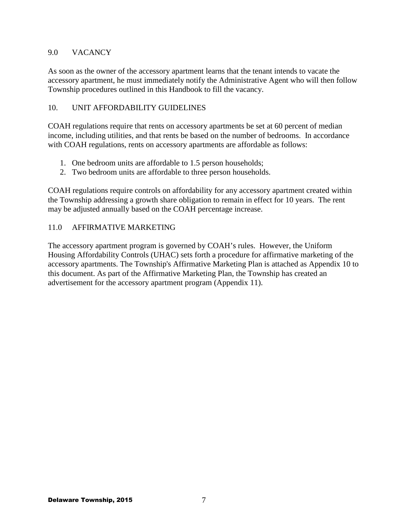### 9.0 VACANCY

As soon as the owner of the accessory apartment learns that the tenant intends to vacate the accessory apartment, he must immediately notify the Administrative Agent who will then follow Township procedures outlined in this Handbook to fill the vacancy.

#### 10. UNIT AFFORDABILITY GUIDELINES

COAH regulations require that rents on accessory apartments be set at 60 percent of median income, including utilities, and that rents be based on the number of bedrooms. In accordance with COAH regulations, rents on accessory apartments are affordable as follows:

- 1. One bedroom units are affordable to 1.5 person households;
- 2. Two bedroom units are affordable to three person households.

COAH regulations require controls on affordability for any accessory apartment created within the Township addressing a growth share obligation to remain in effect for 10 years. The rent may be adjusted annually based on the COAH percentage increase.

### 11.0 AFFIRMATIVE MARKETING

The accessory apartment program is governed by COAH's rules. However, the Uniform Housing Affordability Controls (UHAC) sets forth a procedure for affirmative marketing of the accessory apartments. The Township's Affirmative Marketing Plan is attached as Appendix 10 to this document. As part of the Affirmative Marketing Plan, the Township has created an advertisement for the accessory apartment program (Appendix 11).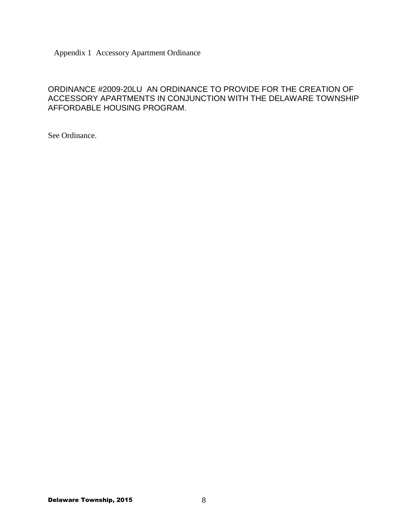Appendix 1 Accessory Apartment Ordinance

# ORDINANCE #2009-20LU AN ORDINANCE TO PROVIDE FOR THE CREATION OF ACCESSORY APARTMENTS IN CONJUNCTION WITH THE DELAWARE TOWNSHIP AFFORDABLE HOUSING PROGRAM.

See Ordinance.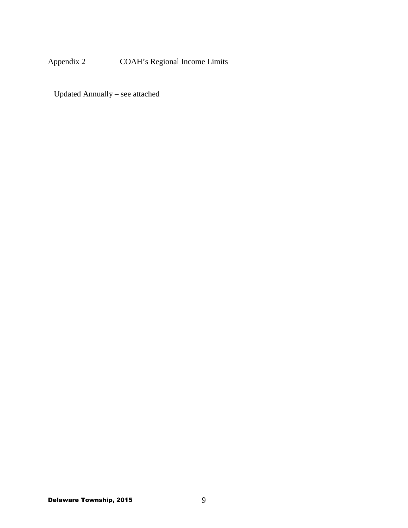# Appendix 2 COAH's Regional Income Limits

Updated Annually – see attached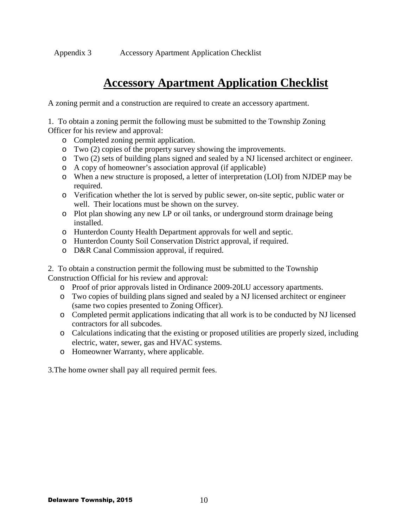# **Accessory Apartment Application Checklist**

A zoning permit and a construction are required to create an accessory apartment.

1. To obtain a zoning permit the following must be submitted to the Township Zoning Officer for his review and approval:

- o Completed zoning permit application.
- o Two (2) copies of the property survey showing the improvements.
- o Two (2) sets of building plans signed and sealed by a NJ licensed architect or engineer.
- o A copy of homeowner's association approval (if applicable)
- o When a new structure is proposed, a letter of interpretation (LOI) from NJDEP may be required.
- o Verification whether the lot is served by public sewer, on-site septic, public water or well. Their locations must be shown on the survey.
- o Plot plan showing any new LP or oil tanks, or underground storm drainage being installed.
- o Hunterdon County Health Department approvals for well and septic.
- o Hunterdon County Soil Conservation District approval, if required.
- o D&R Canal Commission approval, if required.
- 2. To obtain a construction permit the following must be submitted to the Township Construction Official for his review and approval:
	- o Proof of prior approvals listed in Ordinance 2009-20LU accessory apartments.
	- o Two copies of building plans signed and sealed by a NJ licensed architect or engineer (same two copies presented to Zoning Officer).
	- o Completed permit applications indicating that all work is to be conducted by NJ licensed contractors for all subcodes.
	- o Calculations indicating that the existing or proposed utilities are properly sized, including electric, water, sewer, gas and HVAC systems.
	- o Homeowner Warranty, where applicable.

3.The home owner shall pay all required permit fees.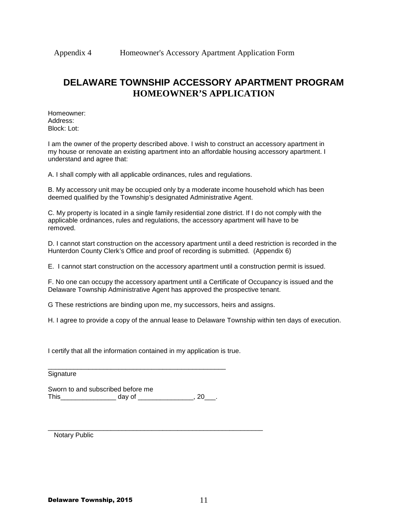# **DELAWARE TOWNSHIP ACCESSORY APARTMENT PROGRAM HOMEOWNER'S APPLICATION**

Homeowner: Address: Block: Lot:

I am the owner of the property described above. I wish to construct an accessory apartment in my house or renovate an existing apartment into an affordable housing accessory apartment. I understand and agree that:

A. I shall comply with all applicable ordinances, rules and regulations.

B. My accessory unit may be occupied only by a moderate income household which has been deemed qualified by the Township's designated Administrative Agent.

C. My property is located in a single family residential zone district. If I do not comply with the applicable ordinances, rules and regulations, the accessory apartment will have to be removed.

D. I cannot start construction on the accessory apartment until a deed restriction is recorded in the Hunterdon County Clerk's Office and proof of recording is submitted. (Appendix 6)

E. I cannot start construction on the accessory apartment until a construction permit is issued.

F. No one can occupy the accessory apartment until a Certificate of Occupancy is issued and the Delaware Township Administrative Agent has approved the prospective tenant.

G These restrictions are binding upon me, my successors, heirs and assigns.

H. I agree to provide a copy of the annual lease to Delaware Township within ten days of execution.

I certify that all the information contained in my application is true.

\_\_\_\_\_\_\_\_\_\_\_\_\_\_\_\_\_\_\_\_\_\_\_\_\_\_\_\_\_\_\_\_\_\_\_\_\_\_\_\_\_\_\_\_\_\_\_\_\_\_\_\_\_\_\_\_\_\_

**Signature** 

Sworn to and subscribed before me This day of this day of the set of  $\sim$  20  $\sim$ 

\_\_\_\_\_\_\_\_\_\_\_\_\_\_\_\_\_\_\_\_\_\_\_\_\_\_\_\_\_\_\_\_\_\_\_\_\_\_\_\_\_\_\_\_\_\_\_\_

Notary Public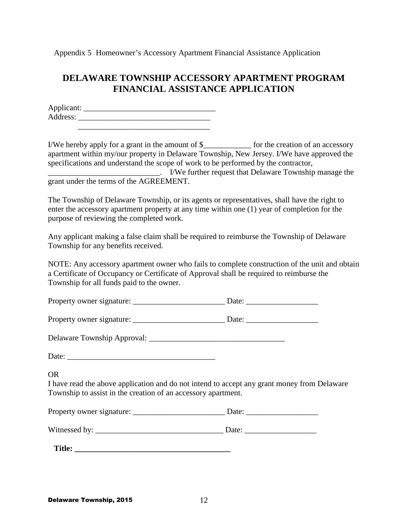Appendix 5 Homeowner's Accessory Apartment Financial Assistance Application

# **DELAWARE TOWNSHIP ACCESSORY APARTMENT PROGRAM FINANCIAL ASSISTANCE APPLICATION**

Applicant: \_\_\_\_\_\_\_\_\_\_\_\_\_\_\_\_\_\_\_\_\_\_\_\_\_\_\_\_\_\_\_\_\_ Address: \_\_\_\_\_\_\_\_\_\_\_\_\_\_\_\_\_\_\_\_\_\_\_\_\_\_\_\_\_\_\_\_\_

I/We hereby apply for a grant in the amount of \$\_\_\_\_\_\_\_\_\_\_\_\_ for the creation of an accessory apartment within my/our property in Delaware Township, New Jersey. I/We have approved the specifications and understand the scope of work to be performed by the contractor,

|                                         | I/We further request that Delaware Township manage the |
|-----------------------------------------|--------------------------------------------------------|
| grant under the terms of the AGREEMENT. |                                                        |

The Township of Delaware Township, or its agents or representatives, shall have the right to enter the accessory apartment property at any time within one (1) year of completion for the purpose of reviewing the completed work.

Any applicant making a false claim shall be required to reimburse the Township of Delaware Township for any benefits received.

NOTE: Any accessory apartment owner who fails to complete construction of the unit and obtain a Certificate of Occupancy or Certificate of Approval shall be required to reimburse the Township for all funds paid to the owner.

Property owner signature: Date:

Delaware Township Approval: \_\_\_\_\_\_\_\_\_\_\_\_\_\_\_\_\_\_\_\_\_\_\_\_\_\_\_\_\_\_\_\_\_\_

Date:

OR

I have read the above application and do not intend to accept any grant money from Delaware Township to assist in the creation of an accessory apartment.

| Property owner signature: | Date <sup>.</sup> |
|---------------------------|-------------------|
|                           |                   |

| Witnessed by: | Jate |  |
|---------------|------|--|
|---------------|------|--|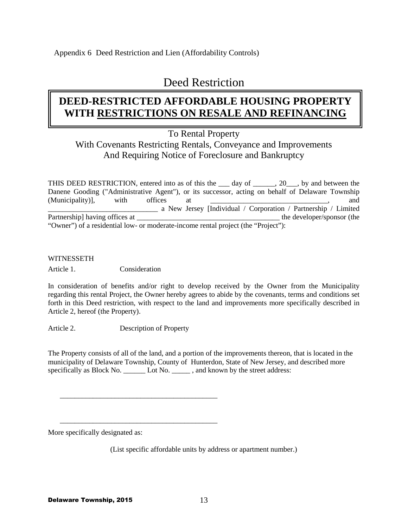# Deed Restriction

# **DEED-RESTRICTED AFFORDABLE HOUSING PROPERTY WITH RESTRICTIONS ON RESALE AND REFINANCING**

To Rental Property

With Covenants Restricting Rentals, Conveyance and Improvements And Requiring Notice of Foreclosure and Bankruptcy

THIS DEED RESTRICTION, entered into as of this the <u>quality day of success</u>, 20 and between the Danene Gooding ("Administrative Agent"), or its successor, acting on behalf of Delaware Township (Municipality), with offices at , and \_\_\_\_\_\_\_\_\_\_\_\_\_\_\_\_\_\_\_\_\_\_\_\_\_\_\_\_\_\_ a New Jersey [Individual / Corporation / Partnership / Limited Partnership] having offices at \_\_\_\_\_\_\_\_\_\_\_\_\_\_\_\_\_\_\_\_\_\_\_\_\_\_\_\_\_\_\_\_\_\_\_\_\_\_\_ the developer/sponsor (the "Owner") of a residential low- or moderate-income rental project (the "Project"):

WITNESSETH

Article 1. Consideration

In consideration of benefits and/or right to develop received by the Owner from the Municipality regarding this rental Project, the Owner hereby agrees to abide by the covenants, terms and conditions set forth in this Deed restriction, with respect to the land and improvements more specifically described in Article 2, hereof (the Property).

Article 2. Description of Property

\_\_\_\_\_\_\_\_\_\_\_\_\_\_\_\_\_\_\_\_\_\_\_\_\_\_\_\_\_\_\_\_\_\_\_\_\_\_\_\_\_\_\_

\_\_\_\_\_\_\_\_\_\_\_\_\_\_\_\_\_\_\_\_\_\_\_\_\_\_\_\_\_\_\_\_\_\_\_\_\_\_\_\_\_\_\_

The Property consists of all of the land, and a portion of the improvements thereon, that is located in the municipality of Delaware Township, County of Hunterdon, State of New Jersey, and described more specifically as Block No. \_\_\_\_\_\_\_\_ Lot No. \_\_\_\_\_\_\_, and known by the street address:

More specifically designated as:

(List specific affordable units by address or apartment number.)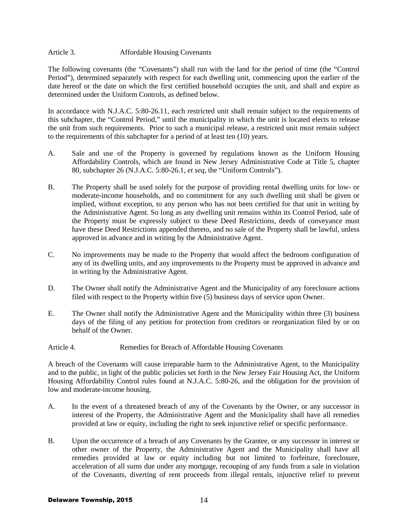#### Article 3. Affordable Housing Covenants

The following covenants (the "Covenants") shall run with the land for the period of time (the "Control Period"), determined separately with respect for each dwelling unit, commencing upon the earlier of the date hereof or the date on which the first certified household occupies the unit, and shall and expire as determined under the Uniform Controls, as defined below.

In accordance with N.J.A.C. 5:80-26.11, each restricted unit shall remain subject to the requirements of this subchapter, the "Control Period," until the municipality in which the unit is located elects to release the unit from such requirements. Prior to such a municipal release, a restricted unit must remain subject to the requirements of this subchapter for a period of at least ten (10) years.

- A. Sale and use of the Property is governed by regulations known as the Uniform Housing Affordability Controls, which are found in New Jersey Administrative Code at Title 5, chapter 80, subchapter 26 (N.J.A.C. 5:80-26.1, *et seq*, the "Uniform Controls").
- B. The Property shall be used solely for the purpose of providing rental dwelling units for low- or moderate-income households, and no commitment for any such dwelling unit shall be given or implied, without exception, to any person who has not been certified for that unit in writing by the Administrative Agent. So long as any dwelling unit remains within its Control Period, sale of the Property must be expressly subject to these Deed Restrictions, deeds of conveyance must have these Deed Restrictions appended thereto, and no sale of the Property shall be lawful, unless approved in advance and in writing by the Administrative Agent.
- C. No improvements may be made to the Property that would affect the bedroom configuration of any of its dwelling units, and any improvements to the Property must be approved in advance and in writing by the Administrative Agent.
- D. The Owner shall notify the Administrative Agent and the Municipality of any foreclosure actions filed with respect to the Property within five (5) business days of service upon Owner.
- E. The Owner shall notify the Administrative Agent and the Municipality within three (3) business days of the filing of any petition for protection from creditors or reorganization filed by or on behalf of the Owner.

Article 4. Remedies for Breach of Affordable Housing Covenants

A breach of the Covenants will cause irreparable harm to the Administrative Agent, to the Municipality and to the public, in light of the public policies set forth in the New Jersey Fair Housing Act, the Uniform Housing Affordability Control rules found at N.J.A.C. 5:80-26, and the obligation for the provision of low and moderate-income housing.

- A. In the event of a threatened breach of any of the Covenants by the Owner, or any successor in interest of the Property, the Administrative Agent and the Municipality shall have all remedies provided at law or equity, including the right to seek injunctive relief or specific performance.
- B. Upon the occurrence of a breach of any Covenants by the Grantee, or any successor in interest or other owner of the Property, the Administrative Agent and the Municipality shall have all remedies provided at law or equity including but not limited to forfeiture, foreclosure, acceleration of all sums due under any mortgage, recouping of any funds from a sale in violation of the Covenants, diverting of rent proceeds from illegal rentals, injunctive relief to prevent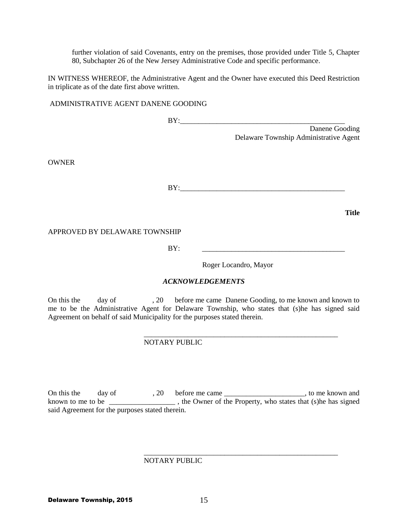further violation of said Covenants, entry on the premises, those provided under Title 5, Chapter 80, Subchapter 26 of the New Jersey Administrative Code and specific performance.

IN WITNESS WHEREOF, the Administrative Agent and the Owner have executed this Deed Restriction in triplicate as of the date first above written.

#### ADMINISTRATIVE AGENT DANENE GOODING

BY:\_\_\_\_\_\_\_\_\_\_\_\_\_\_\_\_\_\_\_\_\_\_\_\_\_\_\_\_\_\_\_\_\_\_\_\_\_\_\_\_\_\_\_\_\_ Danene Gooding Delaware Township Administrative Agent **OWNER** BY:\_\_\_\_\_\_\_\_\_\_\_\_\_\_\_\_\_\_\_\_\_\_\_\_\_\_\_\_\_\_\_\_\_\_\_\_\_\_\_\_\_\_\_\_\_ **Title**

APPROVED BY DELAWARE TOWNSHIP

 $BY:$ 

Roger Locandro, Mayor

\_\_\_\_\_\_\_\_\_\_\_\_\_\_\_\_\_\_\_\_\_\_\_\_\_\_\_\_\_\_\_\_\_\_\_\_\_\_\_\_\_\_\_\_\_\_\_\_\_\_\_\_\_

\_\_\_\_\_\_\_\_\_\_\_\_\_\_\_\_\_\_\_\_\_\_\_\_\_\_\_\_\_\_\_\_\_\_\_\_\_\_\_\_\_\_\_\_\_\_\_\_\_\_\_\_\_

#### *ACKNOWLEDGEMENTS*

On this the day of , 20 before me came Danene Gooding, to me known and known to me to be the Administrative Agent for Delaware Township, who states that (s)he has signed said Agreement on behalf of said Municipality for the purposes stated therein.

#### NOTARY PUBLIC

On this the day of , 20 before me came \_\_\_\_\_\_\_\_\_\_\_\_\_\_\_\_, to me known and known to me to be \_\_\_\_\_\_\_\_\_\_\_\_\_\_, the Owner of the Property, who states that (s) he has signed  $\frac{1}{\sqrt{1-\frac{1}{\sqrt{1-\frac{1}{\sqrt{1-\frac{1}{\sqrt{1-\frac{1}{\sqrt{1-\frac{1}{\sqrt{1-\frac{1}{\sqrt{1-\frac{1}{\sqrt{1-\frac{1}{\sqrt{1-\frac{1}{\sqrt{1-\frac{1}{\sqrt{1-\frac{1}{\sqrt{1-\frac{1}{\sqrt{1-\frac{1}{\sqrt{1-\frac{1}{\sqrt{1-\frac{1}{\sqrt{1-\frac{1}{\sqrt{1-\frac{1}{\sqrt{1-\frac{1}{\sqrt{1-\frac{1}{\sqrt{1-\frac{1}{\sqrt{1-\frac{1}{\sqrt{1-\frac{1}{\sqrt{1-\frac{1}{\sqrt{1-\frac{1$ said Agreement for the purposes stated therein.

### NOTARY PUBLIC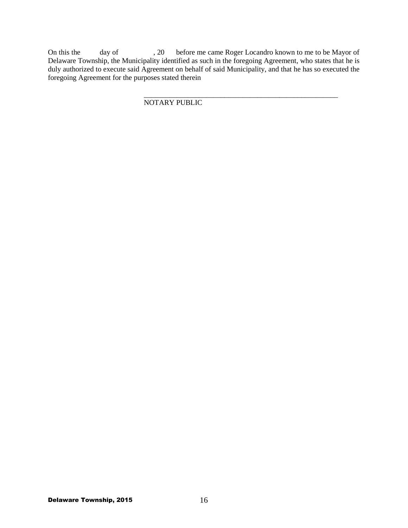On this the day of , 20 before me came Roger Locandro known to me to be Mayor of Delaware Township, the Municipality identified as such in the foregoing Agreement, who states that he is duly authorized to execute said Agreement on behalf of said Municipality, and that he has so executed the foregoing Agreement for the purposes stated therein

> \_\_\_\_\_\_\_\_\_\_\_\_\_\_\_\_\_\_\_\_\_\_\_\_\_\_\_\_\_\_\_\_\_\_\_\_\_\_\_\_\_\_\_\_\_\_\_\_\_\_\_\_\_ NOTARY PUBLIC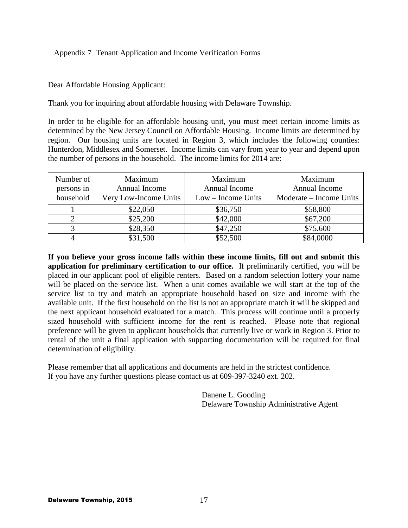## Appendix 7 Tenant Application and Income Verification Forms

Dear Affordable Housing Applicant:

Thank you for inquiring about affordable housing with Delaware Township.

In order to be eligible for an affordable housing unit, you must meet certain income limits as determined by the New Jersey Council on Affordable Housing. Income limits are determined by region. Our housing units are located in Region 3, which includes the following counties: Hunterdon, Middlesex and Somerset. Income limits can vary from year to year and depend upon the number of persons in the household. The income limits for 2014 are:

| Number of<br>persons in<br>household | Maximum<br>Maximum<br>Annual Income<br>Annual Income<br>Very Low-Income Units<br>$Low - Income Units$ |          | Maximum<br>Annual Income<br>Moderate – Income Units |  |
|--------------------------------------|-------------------------------------------------------------------------------------------------------|----------|-----------------------------------------------------|--|
|                                      | \$22,050                                                                                              | \$36,750 | \$58,800                                            |  |
|                                      | \$25,200                                                                                              | \$42,000 | \$67,200                                            |  |
|                                      | \$28,350                                                                                              | \$47,250 | \$75.600                                            |  |
|                                      | \$31,500                                                                                              | \$52,500 | \$84,0000                                           |  |

**If you believe your gross income falls within these income limits, fill out and submit this application for preliminary certification to our office.** If preliminarily certified, you will be placed in our applicant pool of eligible renters. Based on a random selection lottery your name will be placed on the service list. When a unit comes available we will start at the top of the service list to try and match an appropriate household based on size and income with the available unit. If the first household on the list is not an appropriate match it will be skipped and the next applicant household evaluated for a match. This process will continue until a properly sized household with sufficient income for the rent is reached. Please note that regional preference will be given to applicant households that currently live or work in Region 3. Prior to rental of the unit a final application with supporting documentation will be required for final determination of eligibility.

Please remember that all applications and documents are held in the strictest confidence. If you have any further questions please contact us at 609-397-3240 ext. 202.

> Danene L. Gooding Delaware Township Administrative Agent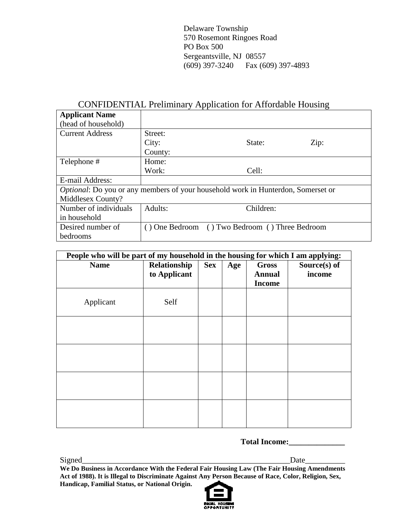Delaware Township 570 Rosemont Ringoes Road PO Box 500 Sergeantsville, NJ 08557<br>(609) 397-3240 Fax (60 Fax (609) 397-4893

# CONFIDENTIAL Preliminary Application for Affordable Housing

| <b>Applicant Name</b>  |         |                                                                                  |      |  |  |
|------------------------|---------|----------------------------------------------------------------------------------|------|--|--|
| (head of household)    |         |                                                                                  |      |  |  |
| <b>Current Address</b> | Street: |                                                                                  |      |  |  |
|                        | City:   | State:                                                                           | Zip: |  |  |
|                        | County: |                                                                                  |      |  |  |
| Telephone #            | Home:   |                                                                                  |      |  |  |
|                        | Work:   | Cell:                                                                            |      |  |  |
| E-mail Address:        |         |                                                                                  |      |  |  |
|                        |         | Optional: Do you or any members of your household work in Hunterdon, Somerset or |      |  |  |
| Middlesex County?      |         |                                                                                  |      |  |  |
| Number of individuals  | Adults: | Children:                                                                        |      |  |  |
| in household           |         |                                                                                  |      |  |  |
| Desired number of      |         | () One Bedroom () Two Bedroom () Three Bedroom                                   |      |  |  |
| bedrooms               |         |                                                                                  |      |  |  |

| People who will be part of my household in the housing for which I am applying: |                              |            |     |                                                |                        |  |  |
|---------------------------------------------------------------------------------|------------------------------|------------|-----|------------------------------------------------|------------------------|--|--|
| <b>Name</b>                                                                     | Relationship<br>to Applicant | <b>Sex</b> | Age | <b>Gross</b><br><b>Annual</b><br><b>Income</b> | Source(s) of<br>income |  |  |
| Applicant                                                                       | Self                         |            |     |                                                |                        |  |  |
|                                                                                 |                              |            |     |                                                |                        |  |  |
|                                                                                 |                              |            |     |                                                |                        |  |  |
|                                                                                 |                              |            |     |                                                |                        |  |  |
|                                                                                 |                              |            |     |                                                |                        |  |  |

**Total Income:\_\_\_\_\_\_\_\_\_\_\_\_\_\_**

Signed\_\_\_\_\_\_\_\_\_\_\_\_\_\_\_\_\_\_\_\_\_\_\_\_\_\_\_\_\_\_\_\_\_\_\_\_\_\_\_\_\_\_\_\_\_\_\_\_\_\_\_\_Date\_\_\_\_\_\_\_\_\_\_

**We Do Business in Accordance With the Federal Fair Housing Law (The Fair Housing Amendments Act of 1988). It is Illegal to Discriminate Against Any Person Because of Race, Color, Religion, Sex, Handicap, Familial Status, or National Origin.**

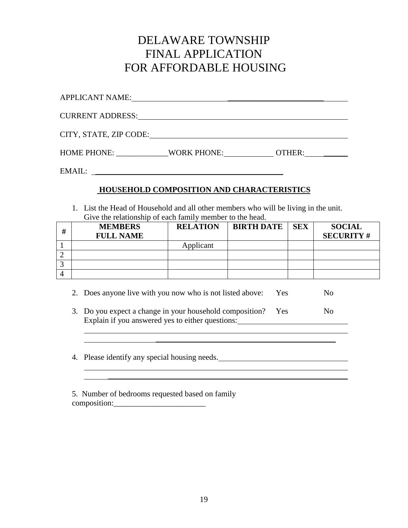# DELAWARE TOWNSHIP FINAL APPLICATION FOR AFFORDABLE HOUSING

| APPLICANT NAME:         |        |  |
|-------------------------|--------|--|
| <b>CURRENT ADDRESS:</b> |        |  |
| CITY, STATE, ZIP CODE:  |        |  |
| HOME PHONE: WORK PHONE: | OTHER: |  |
| EMAIL:                  |        |  |

# **HOUSEHOLD COMPOSITION AND CHARACTERISTICS**

1. List the Head of Household and all other members who will be living in the unit. Give the relationship of each family member to the head.

| # | <b>MEMBERS</b><br><b>FULL NAME</b> | <b>RELATION</b> | <b>BIRTH DATE</b> | SEX | <b>SOCIAL</b><br><b>SECURITY#</b> |
|---|------------------------------------|-----------------|-------------------|-----|-----------------------------------|
|   |                                    | Applicant       |                   |     |                                   |
|   |                                    |                 |                   |     |                                   |
|   |                                    |                 |                   |     |                                   |
|   |                                    |                 |                   |     |                                   |

|  |  |  | 2. Does anyone live with you now who is not listed above: Yes |  | N <sub>0</sub> |
|--|--|--|---------------------------------------------------------------|--|----------------|
|--|--|--|---------------------------------------------------------------|--|----------------|

| 3. Do you expect a change in your household composition? Yes | N <sub>0</sub> |
|--------------------------------------------------------------|----------------|
| Explain if you answered yes to either questions:             |                |

4. Please identify any special housing needs.

5. Number of bedrooms requested based on family composition:\_\_\_\_\_\_\_\_\_\_\_\_\_\_\_\_\_\_\_\_\_\_\_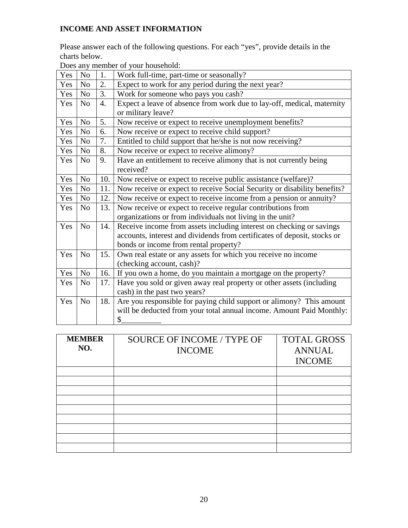# **INCOME AND ASSET INFORMATION**

Please answer each of the following questions. For each "yes", provide details in the charts below.

| Yes                          | N <sub>o</sub> | 1.                                                                   | Work full-time, part-time or seasonally?                                 |  |
|------------------------------|----------------|----------------------------------------------------------------------|--------------------------------------------------------------------------|--|
| Yes                          | N <sub>o</sub> | 2.                                                                   | Expect to work for any period during the next year?                      |  |
| Yes                          | N <sub>o</sub> | 3.                                                                   | Work for someone who pays you cash?                                      |  |
| Yes                          | N <sub>0</sub> | 4.                                                                   | Expect a leave of absence from work due to lay-off, medical, maternity   |  |
|                              |                |                                                                      | or military leave?                                                       |  |
| Yes                          | No             | 5.                                                                   | Now receive or expect to receive unemployment benefits?                  |  |
| Yes                          | N <sub>o</sub> | 6.                                                                   | Now receive or expect to receive child support?                          |  |
| Yes                          | N <sub>o</sub> | 7.                                                                   | Entitled to child support that he/she is not now receiving?              |  |
| Yes                          | No             | 8.                                                                   | Now receive or expect to receive alimony?                                |  |
| Yes                          | N <sub>o</sub> | 9.                                                                   | Have an entitlement to receive alimony that is not currently being       |  |
|                              |                |                                                                      | received?                                                                |  |
| Yes                          | No             | 10.                                                                  | Now receive or expect to receive public assistance (welfare)?            |  |
| Yes                          | No             | 11.                                                                  | Now receive or expect to receive Social Security or disability benefits? |  |
| Yes                          | N <sub>o</sub> | 12.                                                                  | Now receive or expect to receive income from a pension or annuity?       |  |
| Yes<br>13.<br>N <sub>o</sub> |                | Now receive or expect to receive regular contributions from          |                                                                          |  |
|                              |                |                                                                      | organizations or from individuals not living in the unit?                |  |
| Yes<br>N <sub>o</sub><br>14. |                | Receive income from assets including interest on checking or savings |                                                                          |  |
|                              |                |                                                                      | accounts, interest and dividends from certificates of deposit, stocks or |  |
|                              |                |                                                                      | bonds or income from rental property?                                    |  |
| Yes<br>N <sub>o</sub><br>15. |                | Own real estate or any assets for which you receive no income        |                                                                          |  |
| (checking account, cash)?    |                |                                                                      |                                                                          |  |
| Yes                          | N <sub>o</sub> | 16.                                                                  | If you own a home, do you maintain a mortgage on the property?           |  |
| Yes<br>17.<br>N <sub>o</sub> |                | Have you sold or given away real property or other assets (including |                                                                          |  |
| cash) in the past two years? |                |                                                                      |                                                                          |  |
| Yes<br>N <sub>o</sub><br>18. |                | Are you responsible for paying child support or alimony? This amount |                                                                          |  |
|                              |                |                                                                      | will be deducted from your total annual income. Amount Paid Monthly:     |  |
|                              |                |                                                                      | $\frac{1}{2}$                                                            |  |

Does any member of your household:

| <b>MEMBER</b> | SOURCE OF INCOME / TYPE OF | <b>TOTAL GROSS</b> |
|---------------|----------------------------|--------------------|
| NO.           | <b>INCOME</b>              | <b>ANNUAL</b>      |
|               |                            | <b>INCOME</b>      |
|               |                            |                    |
|               |                            |                    |
|               |                            |                    |
|               |                            |                    |
|               |                            |                    |
|               |                            |                    |
|               |                            |                    |
|               |                            |                    |
|               |                            |                    |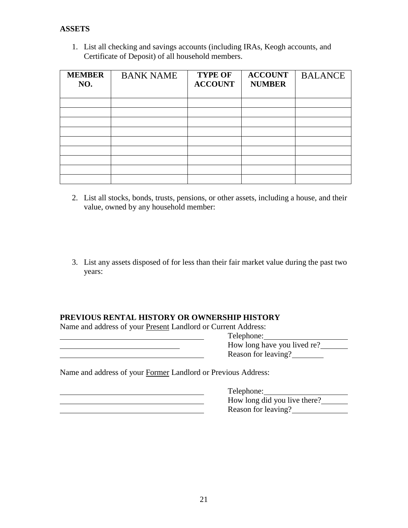## **ASSETS**

1. List all checking and savings accounts (including IRAs, Keogh accounts, and Certificate of Deposit) of all household members.

| <b>MEMBER</b><br>NO. | <b>BANK NAME</b> | <b>TYPE OF</b><br><b>ACCOUNT</b> | <b>ACCOUNT</b><br><b>NUMBER</b> | <b>BALANCE</b> |
|----------------------|------------------|----------------------------------|---------------------------------|----------------|
|                      |                  |                                  |                                 |                |
|                      |                  |                                  |                                 |                |
|                      |                  |                                  |                                 |                |
|                      |                  |                                  |                                 |                |
|                      |                  |                                  |                                 |                |
|                      |                  |                                  |                                 |                |
|                      |                  |                                  |                                 |                |
|                      |                  |                                  |                                 |                |
|                      |                  |                                  |                                 |                |

- 2. List all stocks, bonds, trusts, pensions, or other assets, including a house, and their value, owned by any household member:
- 3. List any assets disposed of for less than their fair market value during the past two years:

# **PREVIOUS RENTAL HISTORY OR OWNERSHIP HISTORY**

Name and address of your Present Landlord or Current Address:

| Telephone:                  |
|-----------------------------|
| How long have you lived re? |
| Reason for leaving?         |
|                             |

Name and address of your Former Landlord or Previous Address:

<u> 1980 - Johann Barn, mars ann an t-Amhain Aonaich an t-Aonaich an t-Aonaich ann an t-Aonaich ann an t-Aonaich</u>

| Telephone:                   |
|------------------------------|
| How long did you live there? |
| Reason for leaving?          |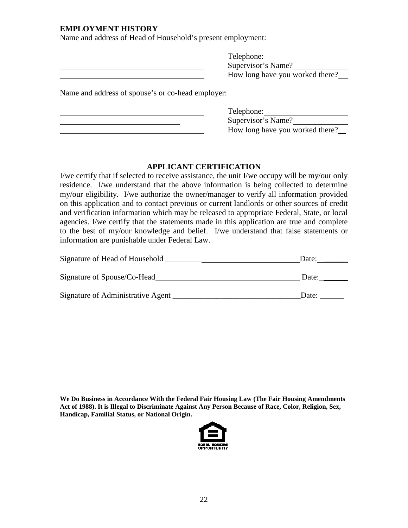### **EMPLOYMENT HISTORY**

Name and address of Head of Household's present employment:

|                                                   | Telephone:<br>Supervisor's Name? |
|---------------------------------------------------|----------------------------------|
|                                                   | How long have you worked there?  |
| Name and address of spouse's or co-head employer: |                                  |

Telephone: Supervisor's Name? How long have you worked there?\_\_

### **APPLICANT CERTIFICATION**

I/we certify that if selected to receive assistance, the unit I/we occupy will be my/our only residence. I/we understand that the above information is being collected to determine my/our eligibility. I/we authorize the owner/manager to verify all information provided on this application and to contact previous or current landlords or other sources of credit and verification information which may be released to appropriate Federal, State, or local agencies. I/we certify that the statements made in this application are true and complete to the best of my/our knowledge and belief. I/we understand that false statements or information are punishable under Federal Law.

| Signature of Head of Household    | Date: |
|-----------------------------------|-------|
| Signature of Spouse/Co-Head       | Date: |
| Signature of Administrative Agent | Date: |
|                                   |       |

**We Do Business in Accordance With the Federal Fair Housing Law (The Fair Housing Amendments Act of 1988). It is Illegal to Discriminate Against Any Person Because of Race, Color, Religion, Sex, Handicap, Familial Status, or National Origin.**

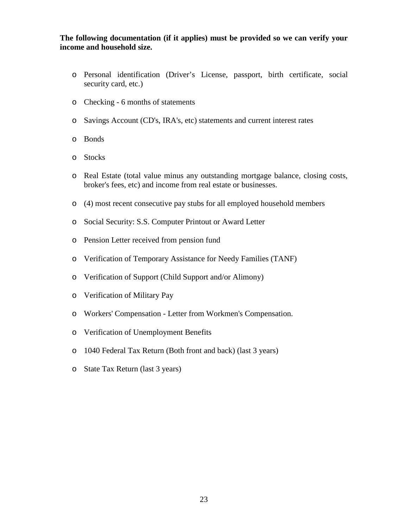**The following documentation (if it applies) must be provided so we can verify your income and household size.**

- o Personal identification (Driver's License, passport, birth certificate, social security card, etc.)
- o Checking 6 months of statements
- o Savings Account (CD's, IRA's, etc) statements and current interest rates
- o Bonds
- o Stocks
- o Real Estate (total value minus any outstanding mortgage balance, closing costs, broker's fees, etc) and income from real estate or businesses.
- o (4) most recent consecutive pay stubs for all employed household members
- o Social Security: S.S. Computer Printout or Award Letter
- o Pension Letter received from pension fund
- o Verification of Temporary Assistance for Needy Families (TANF)
- o Verification of Support (Child Support and/or Alimony)
- o Verification of Military Pay
- o Workers' Compensation Letter from Workmen's Compensation.
- o Verification of Unemployment Benefits
- o 1040 Federal Tax Return (Both front and back) (last 3 years)
- o State Tax Return (last 3 years)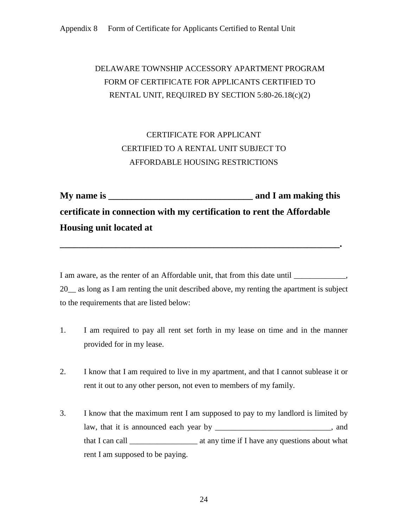# DELAWARE TOWNSHIP ACCESSORY APARTMENT PROGRAM FORM OF CERTIFICATE FOR APPLICANTS CERTIFIED TO RENTAL UNIT, REQUIRED BY SECTION 5:80-26.18(c)(2)

# CERTIFICATE FOR APPLICANT CERTIFIED TO A RENTAL UNIT SUBJECT TO AFFORDABLE HOUSING RESTRICTIONS

**My name is and I am making this certificate in connection with my certification to rent the Affordable Housing unit located at**

**\_\_\_\_\_\_\_\_\_\_\_\_\_\_\_\_\_\_\_\_\_\_\_\_\_\_\_\_\_\_\_\_\_\_\_\_\_\_\_\_\_\_\_\_\_\_\_\_\_\_\_\_\_\_\_\_\_\_\_\_.**

I am aware, as the renter of an Affordable unit, that from this date until \_\_\_\_\_\_\_\_\_\_\_, 20\_\_ as long as I am renting the unit described above, my renting the apartment is subject to the requirements that are listed below:

- 1. I am required to pay all rent set forth in my lease on time and in the manner provided for in my lease.
- 2. I know that I am required to live in my apartment, and that I cannot sublease it or rent it out to any other person, not even to members of my family.
- 3. I know that the maximum rent I am supposed to pay to my landlord is limited by law, that it is announced each year by  $\Box$ , and that I can call \_\_\_\_\_\_\_\_\_\_\_\_\_\_\_\_\_ at any time if I have any questions about what rent I am supposed to be paying.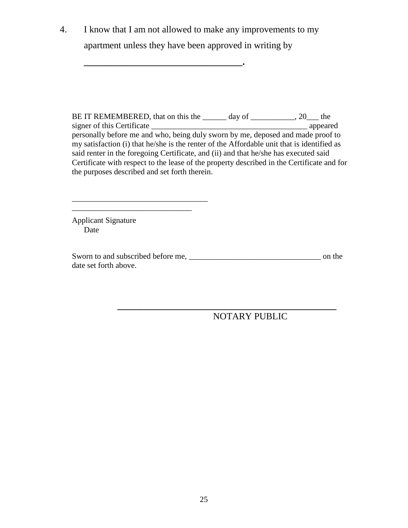# 4. I know that I am not allowed to make any improvements to my apartment unless they have been approved in writing by

BE IT REMEMBERED, that on this the \_\_\_\_\_\_ day of \_\_\_\_\_\_\_\_\_, 20\_\_\_ the signer of this Certificate example appeared appeared personally before me and who, being duly sworn by me, deposed and made proof to my satisfaction (i) that he/she is the renter of the Affordable unit that is identified as said renter in the foregoing Certificate, and (ii) and that he/she has executed said Certificate with respect to the lease of the property described in the Certificate and for the purposes described and set forth therein.

Applicant Signature Date

 $\mathcal{L}_\text{max}$  , where  $\mathcal{L}_\text{max}$  and  $\mathcal{L}_\text{max}$  and  $\mathcal{L}_\text{max}$ 

\_\_\_\_\_\_\_\_\_\_\_\_\_\_\_\_\_\_\_\_\_\_\_\_\_\_\_\_\_\_

| Sworn to and subscribed before me, | on the |
|------------------------------------|--------|
| date set forth above.              |        |

NOTARY PUBLIC

**\_\_\_\_\_\_\_\_\_\_\_\_\_\_\_\_\_\_\_\_\_\_\_\_\_\_\_\_\_\_\_\_\_\_\_\_\_\_\_\_\_\_\_\_\_\_\_**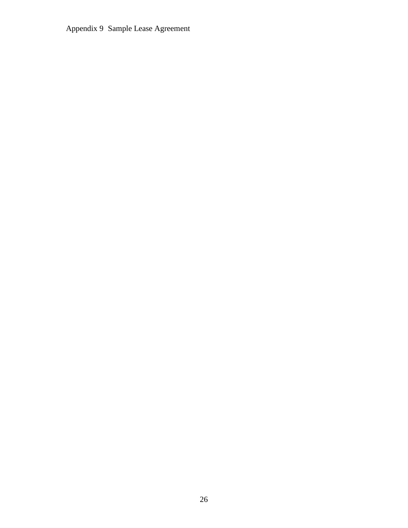Appendix 9 Sample Lease Agreement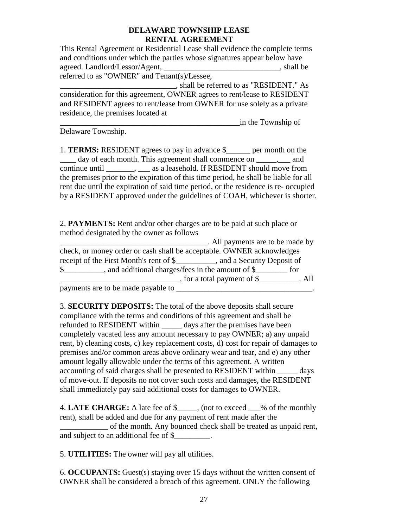### **DELAWARE TOWNSHIP LEASE RENTAL AGREEMENT**

This Rental Agreement or Residential Lease shall evidence the complete terms and conditions under which the parties whose signatures appear below have agreed. Landlord/Lessor/Agent, the contract of the shall be stated as a shall be stated as  $\mu$ referred to as "OWNER" and Tenant(s)/Lessee,

\_\_\_\_\_\_\_\_\_\_\_\_\_\_\_\_\_\_\_\_\_\_\_\_\_\_\_\_\_, shall be referred to as "RESIDENT." As consideration for this agreement, OWNER agrees to rent/lease to RESIDENT and RESIDENT agrees to rent/lease from OWNER for use solely as a private residence, the premises located at

\_\_\_\_\_\_\_\_\_\_\_\_\_\_\_\_\_\_\_\_\_\_\_\_\_\_\_\_\_\_\_\_\_\_\_\_\_\_\_\_\_\_\_\_\_in the Township of

Delaware Township.

1. **TERMS:** RESIDENT agrees to pay in advance \$\_\_\_\_\_\_ per month on the day of each month. This agreement shall commence on  $\qquad \qquad$ , and continue until \_\_\_\_\_\_\_, \_\_\_ as a leasehold. If RESIDENT should move from the premises prior to the expiration of this time period, he shall be liable for all rent due until the expiration of said time period, or the residence is re- occupied by a RESIDENT approved under the guidelines of COAH, whichever is shorter.

2. **PAYMENTS:** Rent and/or other charges are to be paid at such place or method designated by the owner as follows

| . All payments are to be made by                                                                                 |       |
|------------------------------------------------------------------------------------------------------------------|-------|
| check, or money order or cash shall be acceptable. OWNER acknowledges                                            |       |
| receipt of the First Month's rent of \$____________, and a Security Deposit of                                   |       |
| $\mathbb{S}$<br>$\Box$ , and additional charges/fees in the amount of \$ $\Box$ for                              |       |
| , for a total payment of \$                                                                                      | . All |
| the common contractors are the common of the common full contract of the second state of the second state of the |       |

payments are to be made payable to \_\_\_\_\_\_\_\_\_\_\_\_\_\_\_\_\_\_\_\_\_\_\_\_\_\_\_\_\_\_\_\_\_\_.

3. **SECURITY DEPOSITS:** The total of the above deposits shall secure compliance with the terms and conditions of this agreement and shall be refunded to RESIDENT within days after the premises have been completely vacated less any amount necessary to pay OWNER; a) any unpaid rent, b) cleaning costs, c) key replacement costs, d) cost for repair of damages to premises and/or common areas above ordinary wear and tear, and e) any other amount legally allowable under the terms of this agreement. A written accounting of said charges shall be presented to RESIDENT within days of move-out. If deposits no not cover such costs and damages, the RESIDENT shall immediately pay said additional costs for damages to OWNER.

4. **LATE CHARGE:** A late fee of \$ , (not to exceed  $\%$  of the monthly rent), shall be added and due for any payment of rent made after the \_\_\_\_\_\_\_\_\_\_\_\_ of the month. Any bounced check shall be treated as unpaid rent, and subject to an additional fee of \$\_\_\_\_\_\_\_\_.

5. **UTILITIES:** The owner will pay all utilities.

6. **OCCUPANTS:** Guest(s) staying over 15 days without the written consent of OWNER shall be considered a breach of this agreement. ONLY the following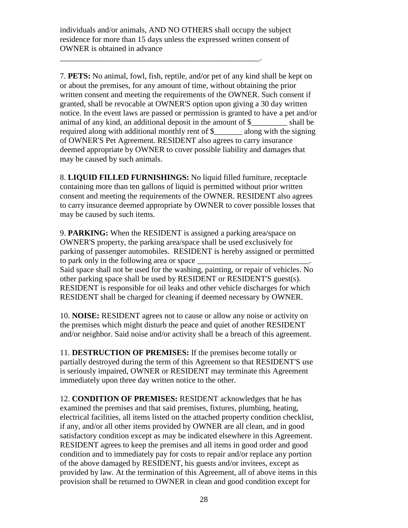individuals and/or animals, AND NO OTHERS shall occupy the subject residence for more than 15 days unless the expressed written consent of OWNER is obtained in advance

\_\_\_\_\_\_\_\_\_\_\_\_\_\_\_\_\_\_\_\_\_\_\_\_\_\_\_\_\_\_\_\_\_\_\_\_\_\_\_\_\_\_\_\_\_\_\_\_\_\_.

7. **PETS:** No animal, fowl, fish, reptile, and/or pet of any kind shall be kept on or about the premises, for any amount of time, without obtaining the prior written consent and meeting the requirements of the OWNER. Such consent if granted, shall be revocable at OWNER'S option upon giving a 30 day written notice. In the event laws are passed or permission is granted to have a pet and/or animal of any kind, an additional deposit in the amount of \$\_\_\_\_\_\_\_\_\_ shall be required along with additional monthly rent of \$\_\_\_\_\_\_\_ along with the signing of OWNER'S Pet Agreement. RESIDENT also agrees to carry insurance deemed appropriate by OWNER to cover possible liability and damages that may be caused by such animals.

8. **LIQUID FILLED FURNISHINGS:** No liquid filled furniture, receptacle containing more than ten gallons of liquid is permitted without prior written consent and meeting the requirements of the OWNER. RESIDENT also agrees to carry insurance deemed appropriate by OWNER to cover possible losses that may be caused by such items.

9. **PARKING:** When the RESIDENT is assigned a parking area/space on OWNER'S property, the parking area/space shall be used exclusively for parking of passenger automobiles. RESIDENT is hereby assigned or permitted to park only in the following area or space \_

Said space shall not be used for the washing, painting, or repair of vehicles. No other parking space shall be used by RESIDENT or RESIDENT'S guest(s). RESIDENT is responsible for oil leaks and other vehicle discharges for which RESIDENT shall be charged for cleaning if deemed necessary by OWNER.

10. **NOISE:** RESIDENT agrees not to cause or allow any noise or activity on the premises which might disturb the peace and quiet of another RESIDENT and/or neighbor. Said noise and/or activity shall be a breach of this agreement.

11. **DESTRUCTION OF PREMISES:** If the premises become totally or partially destroyed during the term of this Agreement so that RESIDENT'S use is seriously impaired, OWNER or RESIDENT may terminate this Agreement immediately upon three day written notice to the other.

12. **CONDITION OF PREMISES:** RESIDENT acknowledges that he has examined the premises and that said premises, fixtures, plumbing, heating, electrical facilities, all items listed on the attached property condition checklist, if any, and/or all other items provided by OWNER are all clean, and in good satisfactory condition except as may be indicated elsewhere in this Agreement. RESIDENT agrees to keep the premises and all items in good order and good condition and to immediately pay for costs to repair and/or replace any portion of the above damaged by RESIDENT, his guests and/or invitees, except as provided by law. At the termination of this Agreement, all of above items in this provision shall be returned to OWNER in clean and good condition except for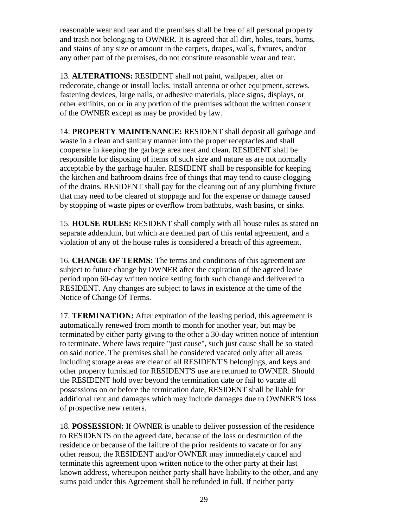reasonable wear and tear and the premises shall be free of all personal property and trash not belonging to OWNER. It is agreed that all dirt, holes, tears, burns, and stains of any size or amount in the carpets, drapes, walls, fixtures, and/or any other part of the premises, do not constitute reasonable wear and tear.

13. **ALTERATIONS:** RESIDENT shall not paint, wallpaper, alter or redecorate, change or install locks, install antenna or other equipment, screws, fastening devices, large nails, or adhesive materials, place signs, displays, or other exhibits, on or in any portion of the premises without the written consent of the OWNER except as may be provided by law.

14: **PROPERTY MAINTENANCE:** RESIDENT shall deposit all garbage and waste in a clean and sanitary manner into the proper receptacles and shall cooperate in keeping the garbage area neat and clean. RESIDENT shall be responsible for disposing of items of such size and nature as are not normally acceptable by the garbage hauler. RESIDENT shall be responsible for keeping the kitchen and bathroom drains free of things that may tend to cause clogging of the drains. RESIDENT shall pay for the cleaning out of any plumbing fixture that may need to be cleared of stoppage and for the expense or damage caused by stopping of waste pipes or overflow from bathtubs, wash basins, or sinks.

15. **HOUSE RULES:** RESIDENT shall comply with all house rules as stated on separate addendum, but which are deemed part of this rental agreement, and a violation of any of the house rules is considered a breach of this agreement.

16. **CHANGE OF TERMS:** The terms and conditions of this agreement are subject to future change by OWNER after the expiration of the agreed lease period upon 60-day written notice setting forth such change and delivered to RESIDENT. Any changes are subject to laws in existence at the time of the Notice of Change Of Terms.

17. **TERMINATION:** After expiration of the leasing period, this agreement is automatically renewed from month to month for another year, but may be terminated by either party giving to the other a 30-day written notice of intention to terminate. Where laws require "just cause", such just cause shall be so stated on said notice. The premises shall be considered vacated only after all areas including storage areas are clear of all RESIDENT'S belongings, and keys and other property furnished for RESIDENT'S use are returned to OWNER. Should the RESIDENT hold over beyond the termination date or fail to vacate all possessions on or before the termination date, RESIDENT shall be liable for additional rent and damages which may include damages due to OWNER'S loss of prospective new renters.

18. **POSSESSION:** If OWNER is unable to deliver possession of the residence to RESIDENTS on the agreed date, because of the loss or destruction of the residence or because of the failure of the prior residents to vacate or for any other reason, the RESIDENT and/or OWNER may immediately cancel and terminate this agreement upon written notice to the other party at their last known address, whereupon neither party shall have liability to the other, and any sums paid under this Agreement shall be refunded in full. If neither party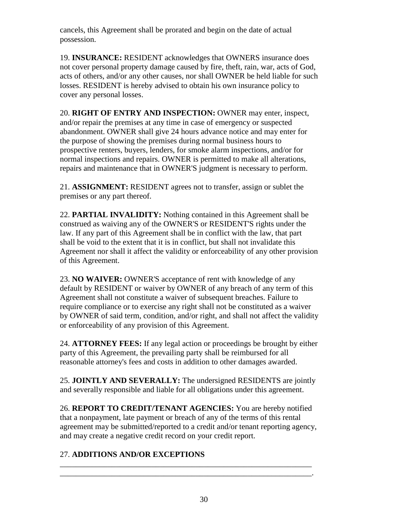cancels, this Agreement shall be prorated and begin on the date of actual possession.

19. **INSURANCE:** RESIDENT acknowledges that OWNERS insurance does not cover personal property damage caused by fire, theft, rain, war, acts of God, acts of others, and/or any other causes, nor shall OWNER be held liable for such losses. RESIDENT is hereby advised to obtain his own insurance policy to cover any personal losses.

20. **RIGHT OF ENTRY AND INSPECTION:** OWNER may enter, inspect, and/or repair the premises at any time in case of emergency or suspected abandonment. OWNER shall give 24 hours advance notice and may enter for the purpose of showing the premises during normal business hours to prospective renters, buyers, lenders, for smoke alarm inspections, and/or for normal inspections and repairs. OWNER is permitted to make all alterations, repairs and maintenance that in OWNER'S judgment is necessary to perform.

21. **ASSIGNMENT:** RESIDENT agrees not to transfer, assign or sublet the premises or any part thereof.

22. **PARTIAL INVALIDITY:** Nothing contained in this Agreement shall be construed as waiving any of the OWNER'S or RESIDENT'S rights under the law. If any part of this Agreement shall be in conflict with the law, that part shall be void to the extent that it is in conflict, but shall not invalidate this Agreement nor shall it affect the validity or enforceability of any other provision of this Agreement.

23. **NO WAIVER:** OWNER'S acceptance of rent with knowledge of any default by RESIDENT or waiver by OWNER of any breach of any term of this Agreement shall not constitute a waiver of subsequent breaches. Failure to require compliance or to exercise any right shall not be constituted as a waiver by OWNER of said term, condition, and/or right, and shall not affect the validity or enforceability of any provision of this Agreement.

24. **ATTORNEY FEES:** If any legal action or proceedings be brought by either party of this Agreement, the prevailing party shall be reimbursed for all reasonable attorney's fees and costs in addition to other damages awarded.

25. **JOINTLY AND SEVERALLY:** The undersigned RESIDENTS are jointly and severally responsible and liable for all obligations under this agreement.

26. **REPORT TO CREDIT/TENANT AGENCIES:** You are hereby notified that a nonpayment, late payment or breach of any of the terms of this rental agreement may be submitted/reported to a credit and/or tenant reporting agency, and may create a negative credit record on your credit report.

\_\_\_\_\_\_\_\_\_\_\_\_\_\_\_\_\_\_\_\_\_\_\_\_\_\_\_\_\_\_\_\_\_\_\_\_\_\_\_\_\_\_\_\_\_\_\_\_\_\_\_\_\_\_\_\_\_\_\_\_\_\_\_ \_\_\_\_\_\_\_\_\_\_\_\_\_\_\_\_\_\_\_\_\_\_\_\_\_\_\_\_\_\_\_\_\_\_\_\_\_\_\_\_\_\_\_\_\_\_\_\_\_\_\_\_\_\_\_\_\_\_\_\_\_\_\_.

# 27. **ADDITIONS AND/OR EXCEPTIONS**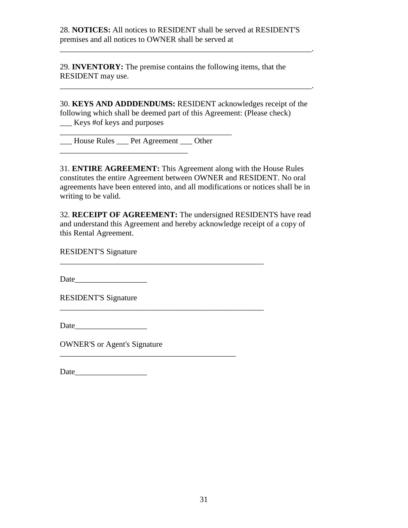\_\_\_\_\_\_\_\_\_\_\_\_\_\_\_\_\_\_\_\_\_\_\_\_\_\_\_\_\_\_\_\_\_\_\_\_\_\_\_\_\_\_\_\_\_\_\_\_\_\_\_\_\_\_\_\_\_\_\_\_\_\_\_.

\_\_\_\_\_\_\_\_\_\_\_\_\_\_\_\_\_\_\_\_\_\_\_\_\_\_\_\_\_\_\_\_\_\_\_\_\_\_\_\_\_\_\_\_\_\_\_\_\_\_\_\_\_\_\_\_\_\_\_\_\_\_\_.

29. **INVENTORY:** The premise contains the following items, that the RESIDENT may use.

30. **KEYS AND ADDDENDUMS:** RESIDENT acknowledges receipt of the following which shall be deemed part of this Agreement: (Please check) \_\_\_ Keys #of keys and purposes

\_\_\_ House Rules \_\_\_ Pet Agreement \_\_\_ Other

\_\_\_\_\_\_\_\_\_\_\_\_\_\_\_\_\_\_\_\_\_\_\_\_\_\_\_\_\_\_\_\_\_\_\_\_\_\_\_\_\_\_\_

 $\_$ 

\_\_\_\_\_\_\_\_\_\_\_\_\_\_\_\_\_\_\_\_\_\_\_\_\_\_\_\_\_\_\_\_\_\_\_\_\_\_\_\_\_\_\_\_\_\_\_\_\_\_\_

\_\_\_\_\_\_\_\_\_\_\_\_\_\_\_\_\_\_\_\_\_\_\_\_\_\_\_\_\_\_\_\_\_\_\_\_\_\_\_\_\_\_\_\_\_\_\_\_\_\_\_

\_\_\_\_\_\_\_\_\_\_\_\_\_\_\_\_\_\_\_\_\_\_\_\_\_\_\_\_\_\_\_\_\_\_\_\_\_\_\_\_\_\_\_\_

31. **ENTIRE AGREEMENT:** This Agreement along with the House Rules constitutes the entire Agreement between OWNER and RESIDENT. No oral agreements have been entered into, and all modifications or notices shall be in writing to be valid.

32. **RECEIPT OF AGREEMENT:** The undersigned RESIDENTS have read and understand this Agreement and hereby acknowledge receipt of a copy of this Rental Agreement.

RESIDENT'S Signature

Date and the set of  $\sim$ 

RESIDENT'S Signature

Date\_\_\_\_\_\_\_\_\_\_\_\_\_\_\_\_\_\_

OWNER'S or Agent's Signature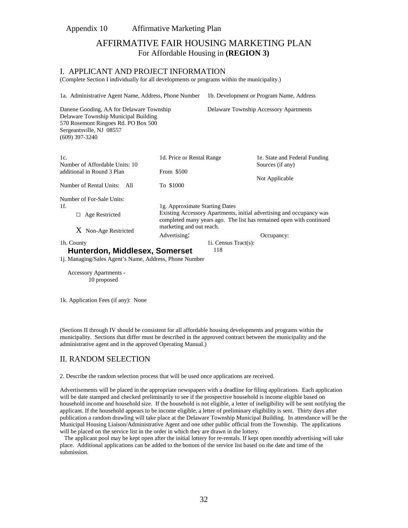Appendix 10 Affirmative Marketing Plan

# AFFIRMATIVE FAIR HOUSING MARKETING PLAN For Affordable Housing in **(REGION 3)**

#### I. APPLICANT AND PROJECT INFORMATION

(Complete Section I individually for all developments or programs within the municipality.)

1a. Administrative Agent Name, Address, Phone Number 1b. Development or Program Name, Address

Danene Gooding, AA for Delaware Township Delaware Township Municipal Building 570 Rosemont Ringoes Rd. PO Box 500 Sergeantsville, NJ 08557 (609) 397-3240 Delaware Township Accessory Apartments 1c. Number of Affordable Units: 10 additional in Round 3 Plan Number of Rental Units: All Number of For-Sale Units: 1d. Price or Rental Range From \$500 To \$1000 1e. State and Federal Funding Sources (if any) Not Applicable 1f. □ Age Restricted X Non-Age Restricted 1g. Approximate Starting Dates Existing Accessory Apartments, initial advertising and occupancy was completed many years ago. The list has remained open with continued marketing and out reach. Advertising: Occupancy: 1h. County **Hunterdon, Middlesex, Somerset** 1i. Census Tract(s): 118

1j. Managing/Sales Agent's Name, Address, Phone Number

Accessory Apartments - 10 proposed

1k. Application Fees (if any): None

(Sections II through IV should be consistent for all affordable housing developments and programs within the municipality. Sections that differ must be described in the approved contract between the municipality and the administrative agent and in the approved Operating Manual.)

#### II. RANDOM SELECTION

2. Describe the random selection process that will be used once applications are received.

Advertisements will be placed in the appropriate newspapers with a deadline for filing applications. Each application will be date stamped and checked preliminarily to see if the prospective household is income eligible based on household income and household size. If the household is not eligible, a letter of ineligibility will be sent notifying the applicant. If the household appears to be income eligible, a letter of preliminary eligibility is sent. Thirty days after publication a random drawling will take place at the Delaware Township Municipal Building. In attendance will be the Municipal Housing Liaison/Administrative Agent and one other public official from the Township. The applications will be placed on the service list in the order in which they are drawn in the lottery.

The applicant pool may be kept open after the initial lottery for re-rentals. If kept open monthly advertising will take place. Additional applications can be added to the bottom of the service list based on the date and time of the submission.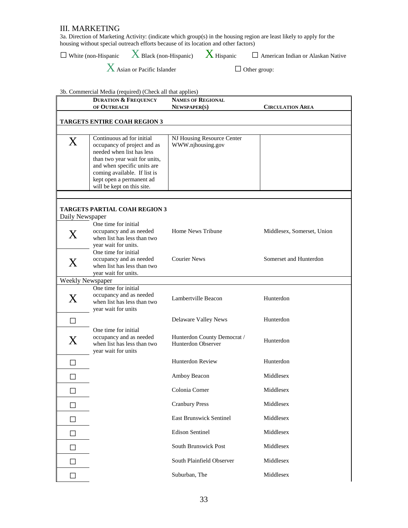#### III. MARKETING

3a. Direction of Marketing Activity: (indicate which group(s) in the housing region are least likely to apply for the housing without special outreach efforts because of its location and other factors)

 $\Box$  White (non-Hispanic  $X_{\text{Black (non-Hispanic)}} X_{\text{Hispanic}} \Box$  American Indian or Alaskan Native

 $\overline{X}$  Asian or Pacific Islander □ Other group:

3b. Commercial Media (required) (Check all that applies)

|                  | <b>DURATION &amp; FREQUENCY</b>                            | <b>NAMES OF REGIONAL</b>       |                            |
|------------------|------------------------------------------------------------|--------------------------------|----------------------------|
|                  | OF OUTREACH                                                | <b>NEWSPAPER(S)</b>            | <b>CIRCULATION AREA</b>    |
|                  | <b>TARGETS ENTIRE COAH REGION 3</b>                        |                                |                            |
|                  |                                                            |                                |                            |
| X                | Continuous ad for initial                                  | NJ Housing Resource Center     |                            |
|                  | occupancy of project and as                                | WWW.njhousing.gov              |                            |
|                  | needed when list has less<br>than two year wait for units, |                                |                            |
|                  | and when specific units are                                |                                |                            |
|                  | coming available. If list is                               |                                |                            |
|                  | kept open a permanent ad                                   |                                |                            |
|                  | will be kept on this site.                                 |                                |                            |
|                  |                                                            |                                |                            |
|                  | <b>TARGETS PARTIAL COAH REGION 3</b>                       |                                |                            |
| Daily Newspaper  |                                                            |                                |                            |
|                  | One time for initial<br>occupancy and as needed            | Home News Tribune              |                            |
| X                | when list has less than two                                |                                | Middlesex, Somerset, Union |
|                  | year wait for units.                                       |                                |                            |
|                  | One time for initial                                       |                                |                            |
|                  | occupancy and as needed                                    | <b>Courier News</b>            | Somerset and Hunterdon     |
| X                | when list has less than two                                |                                |                            |
|                  | year wait for units.                                       |                                |                            |
| Weekly Newspaper |                                                            |                                |                            |
|                  | One time for initial                                       |                                |                            |
| X                | occupancy and as needed                                    | Lambertville Beacon            | Hunterdon                  |
|                  | when list has less than two                                |                                |                            |
|                  | year wait for units                                        |                                |                            |
| □                |                                                            | Delaware Valley News           | Hunterdon                  |
|                  | One time for initial                                       |                                |                            |
|                  | occupancy and as needed                                    | Hunterdon County Democrat /    |                            |
| X                | when list has less than two                                | Hunterdon Observer             | Hunterdon                  |
|                  | year wait for units                                        |                                |                            |
| П                |                                                            | <b>Hunterdon Review</b>        | Hunterdon                  |
|                  |                                                            |                                |                            |
| ΙI               |                                                            | Amboy Beacon                   | Middlesex                  |
|                  |                                                            |                                |                            |
| ┑                |                                                            | Colonia Corner                 | Middlesex                  |
| ΙI               |                                                            | <b>Cranbury Press</b>          | Middlesex                  |
|                  |                                                            |                                |                            |
| $\Box$           |                                                            | <b>East Brunswick Sentinel</b> | Middlesex                  |
| ΙI               |                                                            | <b>Edison Sentinel</b>         | Middlesex                  |
|                  |                                                            |                                |                            |
| ΙI               |                                                            | South Brunswick Post           | Middlesex                  |
|                  |                                                            | South Plainfield Observer      | Middlesex                  |
| $\mathsf{L}$     |                                                            |                                |                            |
| П                |                                                            | Suburban, The                  | Middlesex                  |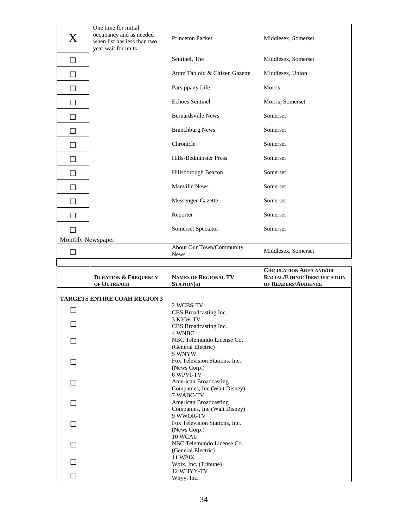| X                 | One time for initial<br>occupancy and as needed<br>when list has less than two<br>year wait for units | Princeton Packet                                                   | Middlesex, Somerset                                                                          |
|-------------------|-------------------------------------------------------------------------------------------------------|--------------------------------------------------------------------|----------------------------------------------------------------------------------------------|
| $\Box$            |                                                                                                       | Sentinel, The                                                      | Middlesex, Somerset                                                                          |
| $\vert \ \ \vert$ |                                                                                                       | Atom Tabloid & Citizen Gazette                                     | Middlesex, Union                                                                             |
| ΙI                |                                                                                                       | Parsippany Life                                                    | Morris                                                                                       |
| П                 |                                                                                                       | <b>Echoes Sentinel</b>                                             | Morris, Somerset                                                                             |
| ΙI                |                                                                                                       | <b>Bernardsville News</b>                                          | Somerset                                                                                     |
| $\vert \ \ \vert$ |                                                                                                       | <b>Branchburg News</b>                                             | Somerset                                                                                     |
| $\perp$           |                                                                                                       | Chronicle                                                          | Somerset                                                                                     |
| ΙI                |                                                                                                       | Hills-Bedminster Press                                             | Somerset                                                                                     |
| $\mathsf{L}$      |                                                                                                       | Hillsborough Beacon                                                | Somerset                                                                                     |
| ΙI                |                                                                                                       | <b>Manville News</b>                                               | Somerset                                                                                     |
| ΙI                |                                                                                                       | Messenger-Gazette                                                  | Somerset                                                                                     |
|                   |                                                                                                       | Reporter                                                           | Somerset                                                                                     |
| ΙI                |                                                                                                       | Somerset Spectator                                                 | Somerset                                                                                     |
| Monthly Newspaper |                                                                                                       |                                                                    |                                                                                              |
|                   |                                                                                                       | About Our Town/Community                                           | Middlesex, Somerset                                                                          |
| ΙI                |                                                                                                       | <b>News</b>                                                        |                                                                                              |
|                   |                                                                                                       |                                                                    |                                                                                              |
|                   | <b>DURATION &amp; FREQUENCY</b><br>OF OUTREACH                                                        | <b>NAMES OF REGIONAL TV</b><br>STATION(S)                          | <b>CIRCULATION AREA AND/OR</b><br><b>RACIAL/ETHNIC IDENTIFICATION</b><br>OF READERS/AUDIENCE |
|                   |                                                                                                       |                                                                    |                                                                                              |
|                   | <b>TARGETS ENTIRE COAH REGION 3</b>                                                                   | 2 WCBS-TV                                                          |                                                                                              |
|                   |                                                                                                       | CBS Broadcasting Inc.<br>3 KYW-TV                                  |                                                                                              |
|                   |                                                                                                       | CBS Broadcasting Inc.<br>4 WNBC                                    |                                                                                              |
| $\mathsf{L}$      |                                                                                                       | NBC Telemundo License Co.<br>(General Electric)                    |                                                                                              |
| $\Box$            |                                                                                                       | 5 WNYW<br>Fox Television Stations, Inc.<br>(News Corp.)            |                                                                                              |
| ΙI                |                                                                                                       | 6 WPVI-TV<br>American Broadcasting<br>Companies, Inc (Walt Disney) |                                                                                              |
|                   |                                                                                                       | 7 WABC-TV<br>American Broadcasting<br>Companies, Inc (Walt Disney) |                                                                                              |
| $\blacksquare$    |                                                                                                       | 9 WWOR-TV<br>Fox Television Stations, Inc.<br>(News Corp.)         |                                                                                              |
| ΙI                |                                                                                                       | 10 WCAU<br>NBC Telemundo License Co.<br>(General Electric)         |                                                                                              |
| $\mathsf{L}$      |                                                                                                       | 11 WPIX<br>Wpix, Inc. (Tribune)                                    |                                                                                              |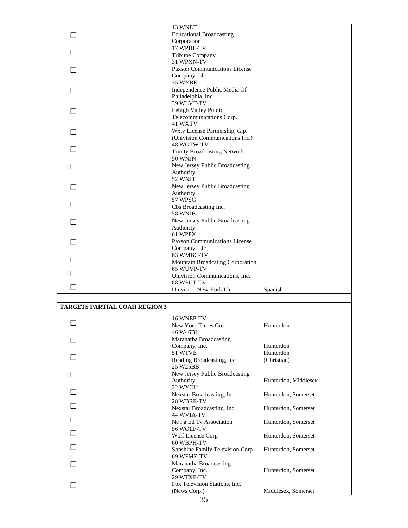|                                      | 13 WNET                                                           |                      |
|--------------------------------------|-------------------------------------------------------------------|----------------------|
|                                      | <b>Educational Broadcasting</b><br>Corporation                    |                      |
|                                      | 17 WPHL-TV                                                        |                      |
|                                      | <b>Tribune Company</b><br>31 WPXN-TV                              |                      |
|                                      | <b>Paxson Communications License</b>                              |                      |
|                                      | Company, Llc<br>35 WYBE                                           |                      |
|                                      | Independence Public Media Of                                      |                      |
|                                      | Philadelphia, Inc.<br>39 WLVT-TV                                  |                      |
|                                      | Lehigh Valley Public<br>Telecommunications Corp.                  |                      |
|                                      | 41 WXTV                                                           |                      |
| $\mathsf{L}$                         | Wxtv License Partnership, G.p.<br>(Univision Communications Inc.) |                      |
|                                      | 48 WGTW-TV                                                        |                      |
|                                      | Trinity Broadcasting Network<br>50 WNJN                           |                      |
|                                      | New Jersey Public Broadcasting                                    |                      |
|                                      | Authority<br>52 WNJT                                              |                      |
|                                      | New Jersey Public Broadcasting<br>Authority                       |                      |
| $\mathsf{L}$                         | 57 WPSG                                                           |                      |
|                                      | Cbs Broadcasting Inc.<br>58 WNJB                                  |                      |
|                                      | New Jersey Public Broadcasting                                    |                      |
|                                      | Authority<br>61 WPPX                                              |                      |
|                                      | Paxson Communications License<br>Company, Llc                     |                      |
| $\mathsf{L}$                         | 63 WMBC-TV                                                        |                      |
|                                      | Mountain Broadcating Corporation<br>65 WUVP-TV                    |                      |
|                                      | Univision Communications, Inc.                                    |                      |
| П                                    | 68 WFUT-TV<br>Univision New York Llc                              | Spanish              |
|                                      |                                                                   |                      |
| <b>TARGETS PARTIAL COAH REGION 3</b> |                                                                   |                      |
| $\Box$                               | 16 WNEP-TV<br>New York Times Co.                                  | Hunterdon            |
|                                      | 46 W46BL                                                          |                      |
|                                      | Maranatha Broadcasting<br>Company, Inc.                           | Hunterdon            |
|                                      | 51 WTVE                                                           | Hunterdon            |
|                                      | Reading Broadcasting, Inc<br>25 W25BB                             | (Christian)          |
|                                      | New Jersey Public Broadcasting<br>Authority                       | Hunterdon, Middlesex |
|                                      | 22 WYOU                                                           |                      |
|                                      | Nexstar Broadcasting, Inc<br>28 WBRE-TV                           | Hunterdon, Somerset  |
|                                      | Nexstar Broadcasting, Inc.                                        | Hunterdon, Somerset  |
|                                      | 44 WVIA-TV<br>Ne Pa Ed Tv Association                             | Hunterdon, Somerset  |
|                                      | 56 WOLF-TV<br>Wolf License Corp                                   | Hunterdon, Somerset  |
|                                      | 60 WBPH-TV                                                        |                      |
|                                      | Sonshine Family Television Corp<br>69 WFMZ-TV                     | Hunterdon, Somerset  |
|                                      | Maranatha Broadcasting                                            |                      |
|                                      | Company, Inc.<br>29 WTXF-TV                                       | Hunterdon, Somerset  |
| $\Box$                               | Fox Television Stations, Inc.                                     |                      |
|                                      | (News Corp.)<br>35                                                | Middlesex, Somerset  |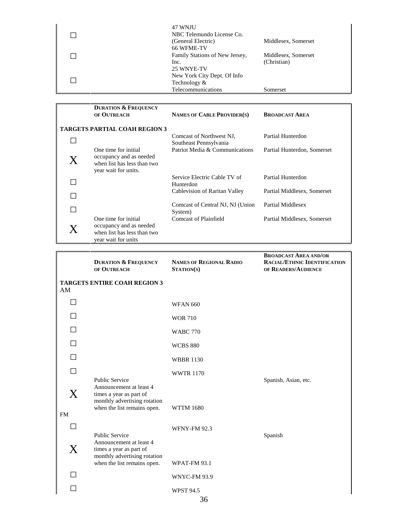| 47 WNJU                        |                     |
|--------------------------------|---------------------|
| NBC Telemundo License Co.      |                     |
| (General Electric)             | Middlesex, Somerset |
| 66 WFME-TV                     |                     |
| Family Stations of New Jersey, | Middlesex, Somerset |
| Inc.                           | (Christian)         |
| 25 WNYE-TV                     |                     |
| New York City Dept. Of Info    |                     |
| Technology &                   |                     |
| Telecommunications             | Somerset            |

|   | <b>DURATION &amp; FREQUENCY</b><br>OF OUTREACH                                                         | <b>NAMES OF CABLE PROVIDER(S)</b>                  | <b>BROADCAST AREA</b>       |
|---|--------------------------------------------------------------------------------------------------------|----------------------------------------------------|-----------------------------|
|   | <b>TARGETS PARTIAL COAH REGION 3</b>                                                                   |                                                    |                             |
|   |                                                                                                        | Comcast of Northwest NJ,<br>Southeast Pennsylvania | <b>Partial Hunterdon</b>    |
| X | One time for initial<br>occupancy and as needed<br>when list has less than two<br>year wait for units. | Patriot Media & Communications                     | Partial Hunterdon, Somerset |
|   |                                                                                                        | Service Electric Cable TV of<br>Hunterdon          | Partial Hunterdon           |
|   |                                                                                                        | Cablevision of Raritan Valley                      | Partial Middlesex, Somerset |
|   |                                                                                                        | Comcast of Central NJ, NJ (Union<br>System)        | Partial Middlesex           |
| X | One time for initial<br>occupancy and as needed<br>when list has less than two<br>year wait for units  | Comcast of Plainfield                              | Partial Middlesex, Somerset |

|           | <b>DURATION &amp; FREQUENCY</b><br>OF OUTREACH                                                                                             | <b>NAMES OF REGIONAL RADIO</b><br>STATION(S) | <b>BROADCAST AREA AND/OR</b><br><b>RACIAL/ETHNIC IDENTIFICATION</b><br>OF READERS/AUDIENCE |
|-----------|--------------------------------------------------------------------------------------------------------------------------------------------|----------------------------------------------|--------------------------------------------------------------------------------------------|
| AM        | <b>TARGETS ENTIRE COAH REGION 3</b>                                                                                                        |                                              |                                                                                            |
|           |                                                                                                                                            | <b>WFAN 660</b>                              |                                                                                            |
|           |                                                                                                                                            | <b>WOR 710</b>                               |                                                                                            |
|           |                                                                                                                                            | <b>WABC 770</b>                              |                                                                                            |
| П         |                                                                                                                                            | <b>WCBS 880</b>                              |                                                                                            |
| П         |                                                                                                                                            | <b>WBBR 1130</b>                             |                                                                                            |
| П         |                                                                                                                                            | <b>WWTR 1170</b>                             |                                                                                            |
| X         | <b>Public Service</b><br>Announcement at least 4<br>times a year as part of<br>monthly advertising rotation                                |                                              | Spanish, Asian, etc.                                                                       |
| <b>FM</b> | when the list remains open.                                                                                                                | <b>WTTM 1680</b>                             |                                                                                            |
| П         |                                                                                                                                            | <b>WFNY-FM 92.3</b>                          |                                                                                            |
| X         | <b>Public Service</b><br>Announcement at least 4<br>times a year as part of<br>monthly advertising rotation<br>when the list remains open. | <b>WPAT-FM 93.1</b>                          | Spanish                                                                                    |
|           |                                                                                                                                            | <b>WNYC-FM 93.9</b>                          |                                                                                            |
|           |                                                                                                                                            | <b>WPST 94.5</b>                             |                                                                                            |
|           |                                                                                                                                            | 36                                           |                                                                                            |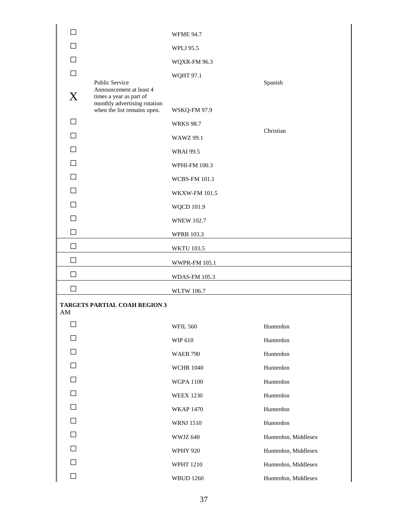| П       |                                                         | <b>WFME 94.7</b>     |                      |
|---------|---------------------------------------------------------|----------------------|----------------------|
| П       |                                                         | <b>WPLJ 95.5</b>     |                      |
| $\Box$  |                                                         | <b>WQXR-FM 96.3</b>  |                      |
| П       |                                                         | <b>WQHT 97.1</b>     |                      |
|         | Public Service<br>Announcement at least 4               |                      | Spanish              |
| X       | times a year as part of<br>monthly advertising rotation |                      |                      |
|         | when the list remains open.                             | <b>WSKQ-FM 97.9</b>  |                      |
| $\perp$ |                                                         | <b>WRKS 98.7</b>     | Christian            |
| $\Box$  |                                                         | <b>WAWZ 99.1</b>     |                      |
| $\Box$  |                                                         | <b>WBAI 99.5</b>     |                      |
| $\Box$  |                                                         | WPHI-FM 100.3        |                      |
| $\Box$  |                                                         | <b>WCBS-FM 101.1</b> |                      |
| $\Box$  |                                                         | <b>WKXW-FM 101.5</b> |                      |
| $\Box$  |                                                         | WQCD 101.9           |                      |
| $\Box$  |                                                         | <b>WNEW 102.7</b>    |                      |
| $\Box$  |                                                         | <b>WPRB 103.3</b>    |                      |
| $\Box$  |                                                         | <b>WKTU 103.5</b>    |                      |
| $\Box$  |                                                         | <b>WWPR-FM 105.1</b> |                      |
| $\Box$  |                                                         | <b>WDAS-FM 105.3</b> |                      |
| П       |                                                         | <b>WLTW 106.7</b>    |                      |
|         | <b>TARGETS PARTIAL COAH REGION 3</b>                    |                      |                      |
| AM      |                                                         |                      |                      |
| $\Box$  |                                                         | <b>WFIL 560</b>      | Hunterdon            |
| П       |                                                         | WIP 610              | Hunterdon            |
| П       |                                                         | <b>WAEB 790</b>      | Hunterdon            |
| П       |                                                         | <b>WCHR 1040</b>     | Hunterdon            |
| $\Box$  |                                                         | <b>WGPA 1100</b>     | Hunterdon            |
| $\perp$ |                                                         | <b>WEEX 1230</b>     | Hunterdon            |
| $\Box$  |                                                         | <b>WKAP 1470</b>     | Hunterdon            |
| $\Box$  |                                                         | <b>WRNJ 1510</b>     | Hunterdon            |
| $\Box$  |                                                         | WWJZ 640             | Hunterdon, Middlesex |
| П       |                                                         | <b>WPHY 920</b>      | Hunterdon, Middlesex |
| $\Box$  |                                                         | <b>WPHT 1210</b>     | Hunterdon, Middlesex |
| $\Box$  |                                                         | <b>WBUD 1260</b>     | Hunterdon, Middlesex |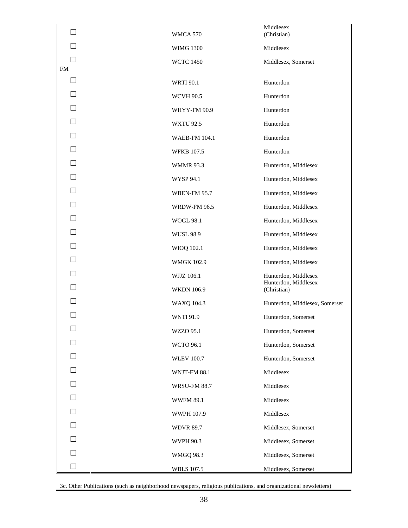| П            | <b>WMCA 570</b>      | Middlesex<br>(Christian)            |
|--------------|----------------------|-------------------------------------|
| $\perp$      | <b>WIMG 1300</b>     | Middlesex                           |
| $\mathsf{L}$ | <b>WCTC 1450</b>     | Middlesex, Somerset                 |
| FM<br>П      |                      |                                     |
| П            | <b>WRTI 90.1</b>     | Hunterdon                           |
| $\perp$      | <b>WCVH 90.5</b>     | Hunterdon                           |
| П            | <b>WHYY-FM 90.9</b>  | Hunterdon                           |
|              | <b>WXTU 92.5</b>     | Hunterdon                           |
| П            | <b>WAEB-FM 104.1</b> | Hunterdon                           |
| П            | <b>WFKB 107.5</b>    | Hunterdon                           |
| П            | <b>WMMR 93.3</b>     | Hunterdon, Middlesex                |
| $\Box$       | <b>WYSP 94.1</b>     | Hunterdon, Middlesex                |
| П            | <b>WBEN-FM 95.7</b>  | Hunterdon, Middlesex                |
| $\Box$       | <b>WRDW-FM 96.5</b>  | Hunterdon, Middlesex                |
| $\Box$       | <b>WOGL 98.1</b>     | Hunterdon, Middlesex                |
| □            | <b>WUSL 98.9</b>     | Hunterdon, Middlesex                |
| □            | WIOQ 102.1           | Hunterdon, Middlesex                |
| $\perp$      | <b>WMGK 102.9</b>    | Hunterdon, Middlesex                |
| □            | WJJZ 106.1           | Hunterdon, Middlesex                |
| П            | <b>WKDN 106.9</b>    | Hunterdon, Middlesex<br>(Christian) |
| П            | WAXQ 104.3           | Hunterdon, Middlesex, Somerset      |
| $\Box$       | <b>WNTI 91.9</b>     | Hunterdon, Somerset                 |
| $\Box$       | WZZO 95.1            | Hunterdon, Somerset                 |
| $\Box$       | <b>WCTO 96.1</b>     | Hunterdon, Somerset                 |
| □            | <b>WLEV 100.7</b>    | Hunterdon, Somerset                 |
| $\Box$       | <b>WNJT-FM 88.1</b>  | Middlesex                           |
| $\Box$       | <b>WRSU-FM 88.7</b>  | Middlesex                           |
| □            | <b>WWFM 89.1</b>     | Middlesex                           |
| $\Box$       | WWPH 107.9           | Middlesex                           |
| □            | <b>WDVR 89.7</b>     | Middlesex, Somerset                 |
| П            | <b>WVPH 90.3</b>     | Middlesex, Somerset                 |
| $\Box$       | <b>WMGQ 98.3</b>     | Middlesex, Somerset                 |
| $\Box$       | <b>WBLS 107.5</b>    | Middlesex, Somerset                 |

3c. Other Publications (such as neighborhood newspapers, religious publications, and organizational newsletters)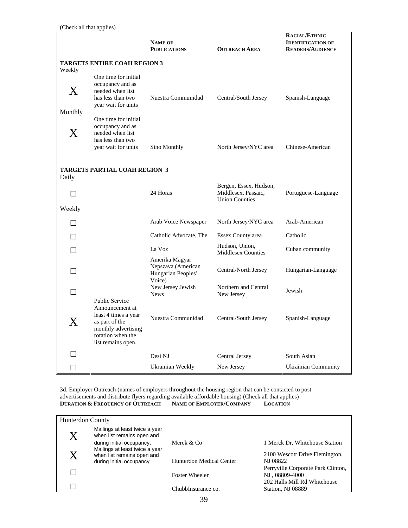(Check all that applies)

|              |                                                                                                                                                      | <b>NAME OF</b><br><b>PUBLICATIONS</b>              | <b>OUTREACH AREA</b>                                                   | RACIAL/ETHNIC<br><b>IDENTIFICATION OF</b><br><b>READERS/AUDIENCE</b> |
|--------------|------------------------------------------------------------------------------------------------------------------------------------------------------|----------------------------------------------------|------------------------------------------------------------------------|----------------------------------------------------------------------|
| Weekly       | <b>TARGETS ENTIRE COAH REGION 3</b>                                                                                                                  |                                                    |                                                                        |                                                                      |
| X<br>Monthly | One time for initial<br>occupancy and as<br>needed when list<br>has less than two<br>year wait for units<br>One time for initial<br>occupancy and as | Nuestra Communidad                                 | Central/South Jersey                                                   | Spanish-Language                                                     |
| X            | needed when list<br>has less than two<br>year wait for units                                                                                         | Sino Monthly                                       | North Jersey/NYC area                                                  | Chinese-American                                                     |
| Daily        | <b>TARGETS PARTIAL COAH REGION 3</b>                                                                                                                 |                                                    |                                                                        |                                                                      |
| П            |                                                                                                                                                      | 24 Horas                                           | Bergen, Essex, Hudson,<br>Middlesex, Passaic,<br><b>Union Counties</b> | Portuguese-Language                                                  |
| Weekly       |                                                                                                                                                      |                                                    |                                                                        |                                                                      |
| П            |                                                                                                                                                      | Arab Voice Newspaper                               | North Jersey/NYC area                                                  | Arab-American                                                        |
| П            |                                                                                                                                                      | Catholic Advocate, The                             | Essex County area                                                      | Catholic                                                             |
| П            |                                                                                                                                                      | La Voz<br>Amerika Magyar                           | Hudson, Union,<br><b>Middlesex Counties</b>                            | Cuban community                                                      |
| П            |                                                                                                                                                      | Nepszava (American<br>Hungarian Peoples'<br>Voice) | Central/North Jersey                                                   | Hungarian-Language                                                   |
| $\mathsf{L}$ |                                                                                                                                                      | New Jersey Jewish<br><b>News</b>                   | Northern and Central<br>New Jersey                                     | Jewish                                                               |
| X            | <b>Public Service</b><br>Announcement at<br>least 4 times a year<br>as part of the<br>monthly advertising<br>rotation when the<br>list remains open. | Nuestra Communidad                                 | Central/South Jersey                                                   | Spanish-Language                                                     |
|              |                                                                                                                                                      | Desi NJ                                            | Central Jersey                                                         | South Asian                                                          |
|              |                                                                                                                                                      | Ukrainian Weekly                                   | New Jersey                                                             | Ukrainian Community                                                  |

3d. Employer Outreach (names of employers throughout the housing region that can be contacted to post advertisements and distribute flyers regarding available affordable housing) (Check all that applies) **DURATION & FREQUENCY OF OUTREACH NAME OF EMPLOYER/COMPANY LOCATION**

| <b>Hunterdon County</b>                                                                  |                          |                                            |  |  |
|------------------------------------------------------------------------------------------|--------------------------|--------------------------------------------|--|--|
| Mailings at least twice a year<br>when list remains open and                             |                          |                                            |  |  |
| during initial occupancy.                                                                | Merck & Co               | 1 Merck Dr, Whitehouse Station             |  |  |
| Mailings at least twice a year<br>when list remains open and<br>during initial occupancy | Hunterdon Medical Center | 2100 Wescott Drive Flemington,<br>NJ 08822 |  |  |
|                                                                                          |                          | Perryville Corporate Park Clinton,         |  |  |
|                                                                                          | <b>Foster Wheeler</b>    | NJ, 08809-4000                             |  |  |
|                                                                                          |                          | 202 Halls Mill Rd Whitehouse               |  |  |
|                                                                                          | ChubbInsurance co.       | Station, NJ 08889                          |  |  |
|                                                                                          | 39                       |                                            |  |  |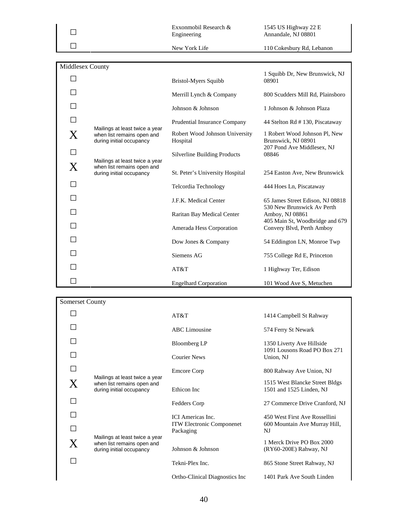Exxonmobil Research & Engineering

| Middlesex County |                                                                                          |                                            |                                                                |
|------------------|------------------------------------------------------------------------------------------|--------------------------------------------|----------------------------------------------------------------|
|                  |                                                                                          | Bristol-Myers Squibb                       | 1 Squibb Dr, New Brunswick, NJ<br>08901                        |
|                  |                                                                                          | Merrill Lynch & Company                    | 800 Scudders Mill Rd, Plainsboro                               |
|                  |                                                                                          | Johnson & Johnson                          | 1 Johnson & Johnson Plaza                                      |
|                  |                                                                                          | Prudential Insurance Company               | 44 Stelton Rd # 130, Piscataway                                |
| X                | Mailings at least twice a year<br>when list remains open and<br>during initial occupancy | Robert Wood Johnson University<br>Hospital | 1 Robert Wood Johnson Pl, New<br>Brunswick, NJ 08901           |
|                  |                                                                                          | Silverline Building Products               | 207 Pond Ave Middlesex, NJ<br>08846                            |
| X                | Mailings at least twice a year<br>when list remains open and                             |                                            |                                                                |
|                  | during initial occupancy                                                                 | St. Peter's University Hospital            | 254 Easton Ave, New Brunswick                                  |
|                  |                                                                                          | Telcordia Technology                       | 444 Hoes Ln, Piscataway                                        |
|                  |                                                                                          | J.F.K. Medical Center                      | 65 James Street Edison, NJ 08818<br>530 New Brunswick Av Perth |
|                  |                                                                                          | Raritan Bay Medical Center                 | Amboy, NJ 08861                                                |
|                  |                                                                                          | Amerada Hess Corporation                   | 405 Main St, Woodbridge and 679<br>Convery Blvd, Perth Amboy   |
|                  |                                                                                          | Dow Jones & Company                        | 54 Eddington LN, Monroe Twp                                    |
|                  |                                                                                          | Siemens AG                                 | 755 College Rd E, Princeton                                    |
|                  |                                                                                          | AT&T                                       | 1 Highway Ter, Edison                                          |
|                  |                                                                                          | <b>Engelhard Corporation</b>               | 101 Wood Ave S, Metuchen                                       |

| Somerset County |                                                                                          |                                               |                                                            |
|-----------------|------------------------------------------------------------------------------------------|-----------------------------------------------|------------------------------------------------------------|
|                 |                                                                                          | AT&T                                          | 1414 Campbell St Rahway                                    |
|                 |                                                                                          | <b>ABC</b> Limousine                          | 574 Ferry St Newark                                        |
|                 |                                                                                          | Bloomberg LP                                  | 1350 Liverty Ave Hillside                                  |
|                 |                                                                                          | <b>Courier News</b>                           | 1091 Lousons Road PO Box 271<br>Union, NJ                  |
|                 |                                                                                          | <b>Emcore Corp</b>                            | 800 Rahway Ave Union, NJ                                   |
| X               | Mailings at least twice a year<br>when list remains open and<br>during initial occupancy | Ethicon Inc.                                  | 1515 West Blancke Street Bldgs<br>1501 and 1525 Linden, NJ |
|                 |                                                                                          | Fedders Corp                                  | 27 Commerce Drive Cranford, NJ                             |
|                 |                                                                                          | ICI Americas Inc.                             | 450 West First Ave Rossellini                              |
|                 |                                                                                          | <b>ITW Electronic Componenet</b><br>Packaging | 600 Mountain Ave Murray Hill,<br>NJ                        |
| X               | Mailings at least twice a year<br>when list remains open and<br>during initial occupancy | Johnson & Johnson                             | 1 Merck Drive PO Box 2000<br>(RY60-200E) Rahway, NJ        |
|                 |                                                                                          | Tekni-Plex Inc.                               | 865 Stone Street Rahway, NJ                                |
|                 |                                                                                          | Ortho-Clinical Diagnostics Inc                | 1401 Park Ave South Linden                                 |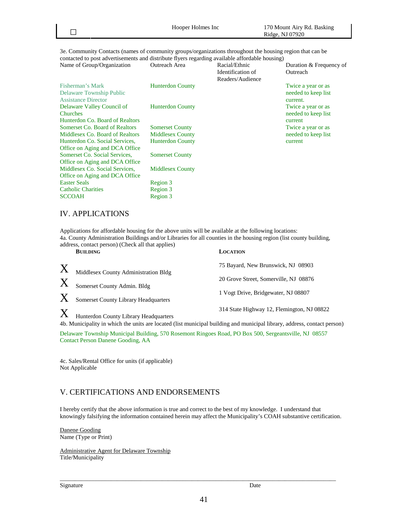3e. Community Contacts (names of community groups/organizations throughout the housing region that can be contacted to post advertisements and distribute flyers regarding available affordable housing)

| Name of Group/Organization      | Outreach Area           | Racial/Ethnic     | Duration & Frequency of |
|---------------------------------|-------------------------|-------------------|-------------------------|
|                                 |                         | Identification of | Outreach                |
|                                 |                         | Readers/Audience  |                         |
| Fisherman's Mark                | <b>Hunterdon County</b> |                   | Twice a year or as      |
| Delaware Township Public        |                         |                   | needed to keep list     |
| <b>Assistance Director</b>      |                         |                   | current.                |
| Delaware Valley Council of      | <b>Hunterdon County</b> |                   | Twice a year or as      |
| <b>Churches</b>                 |                         |                   | needed to keep list     |
| Hunterdon Co. Board of Realtors |                         |                   | current                 |
| Somerset Co. Board of Realtors  | <b>Somerset County</b>  |                   | Twice a year or as      |
| Middlesex Co. Board of Realtors | <b>Middlesex County</b> |                   | needed to keep list     |
| Hunterdon Co. Social Services,  | <b>Hunterdon County</b> |                   | current                 |
| Office on Aging and DCA Office  |                         |                   |                         |
| Somerset Co. Social Services,   | <b>Somerset County</b>  |                   |                         |
| Office on Aging and DCA Office  |                         |                   |                         |
| Middlesex Co. Social Services,  | <b>Middlesex County</b> |                   |                         |
| Office on Aging and DCA Office  |                         |                   |                         |
| <b>Easter Seals</b>             | Region 3                |                   |                         |
| <b>Catholic Charities</b>       | Region 3                |                   |                         |
| <b>SCCOAH</b>                   | Region 3                |                   |                         |

#### IV. APPLICATIONS

□

Applications for affordable housing for the above units will be available at the following locations: 4a. County Administration Buildings and/or Libraries for all counties in the housing region (list county building,

**LOCATION** 

address, contact person) (Check all that applies)

|                                           | 75 Bayard, New Brunswick, NJ 08903         |
|-------------------------------------------|--------------------------------------------|
| $X$ Middlesex County Administration Bldg  |                                            |
| $X$ Somerset County Admin. Bldg           | 20 Grove Street, Somerville, NJ 08876      |
|                                           | 1 Vogt Drive, Bridgewater, NJ 08807        |
| $X$ Somerset County Library Headquarters  |                                            |
|                                           | 314 State Highway 12, Flemington, NJ 08822 |
| $X$ Hunterdon County Library Headquarters |                                            |

4b. Municipality in which the units are located (list municipal building and municipal library, address, contact person)

Delaware Township Municipal Building, 570 Rosemont Ringoes Road, PO Box 500, Sergeantsville, NJ 08557 Contact Person Danene Gooding, AA

4c. Sales/Rental Office for units (if applicable) Not Applicable

#### V. CERTIFICATIONS AND ENDORSEMENTS

I hereby certify that the above information is true and correct to the best of my knowledge. I understand that knowingly falsifying the information contained herein may affect the Municipality's COAH substantive certification.

Danene Gooding Name (Type or Print)

Administrative Agent for Delaware Township Title/Municipality

 $\overline{a}$  , and the contribution of the contribution of the contribution of the contribution of the contribution of the contribution of the contribution of the contribution of the contribution of the contribution of the co